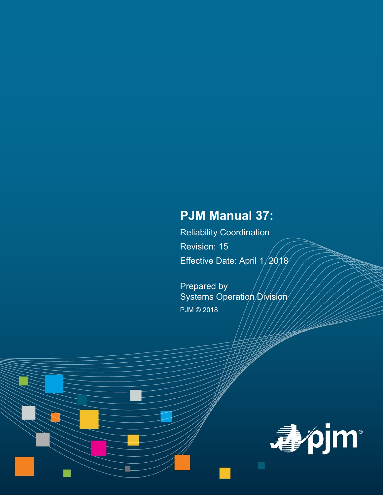# **PJM Manual 37:**

Reliability Coordination Revision: 15 Effective Date: April 1/2018

Prepared by Systems Operation Division PJM © 2018

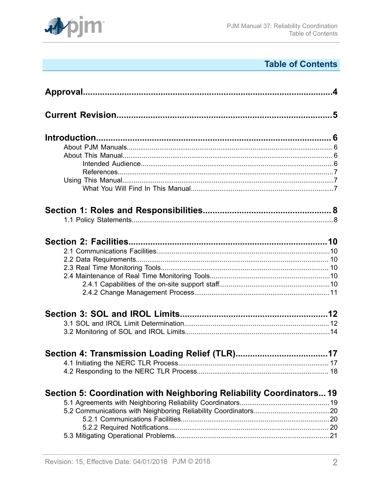

# **Table of Contents**

| Section 5: Coordination with Neighboring Reliability Coordinators 19 |  |
|----------------------------------------------------------------------|--|
|                                                                      |  |
|                                                                      |  |
|                                                                      |  |
|                                                                      |  |
|                                                                      |  |
|                                                                      |  |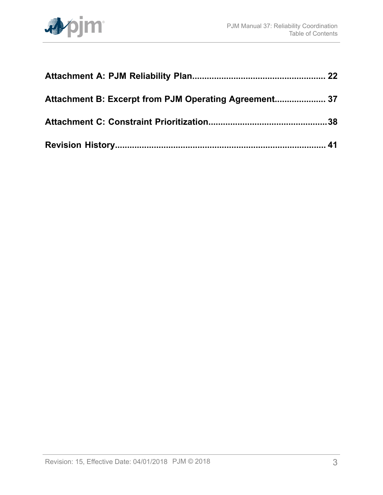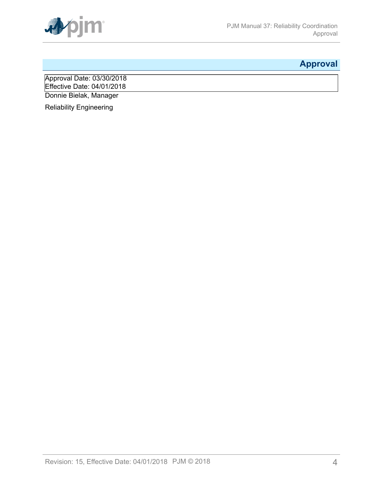

# <span id="page-3-0"></span>**Approval**

Approval Date: 03/30/2018 Effective Date: 04/01/2018 Donnie Bielak, Manager

Reliability Engineering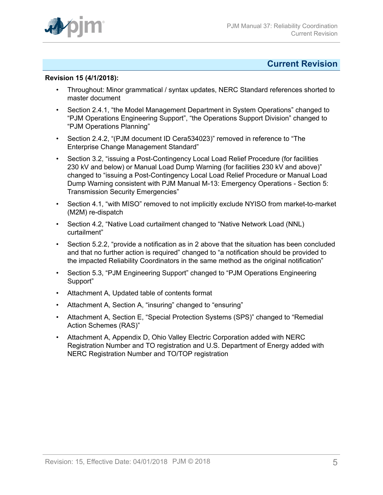

## <span id="page-4-0"></span>**Current Revision**

### **Revision 15 (4/1/2018):**

- Throughout: Minor grammatical / syntax updates, NERC Standard references shorted to master document
- Section 2.4.1, "the Model Management Department in System Operations" changed to "PJM Operations Engineering Support", "the Operations Support Division" changed to "PJM Operations Planning"
- Section 2.4.2, "(PJM document ID Cera534023)" removed in reference to "The Enterprise Change Management Standard"
- Section 3.2, "issuing a Post-Contingency Local Load Relief Procedure (for facilities 230 kV and below) or Manual Load Dump Warning (for facilities 230 kV and above)" changed to "issuing a Post-Contingency Local Load Relief Procedure or Manual Load Dump Warning consistent with PJM Manual M-13: Emergency Operations - Section 5: Transmission Security Emergencies"
- Section 4.1, "with MISO" removed to not implicitly exclude NYISO from market-to-market (M2M) re-dispatch
- Section 4.2, "Native Load curtailment changed to "Native Network Load (NNL) curtailment"
- Section 5.2.2, "provide a notification as in 2 above that the situation has been concluded and that no further action is required" changed to "a notification should be provided to the impacted Reliability Coordinators in the same method as the original notification"
- Section 5.3, "PJM Engineering Support" changed to "PJM Operations Engineering Support"
- Attachment A, Updated table of contents format
- Attachment A, Section A, "insuring" changed to "ensuring"
- Attachment A, Section E, "Special Protection Systems (SPS)" changed to "Remedial Action Schemes (RAS)"
- Attachment A, Appendix D, Ohio Valley Electric Corporation added with NERC Registration Number and TO registration and U.S. Department of Energy added with NERC Registration Number and TO/TOP registration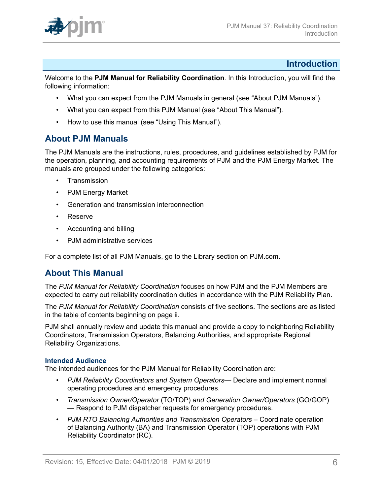

## <span id="page-5-0"></span>**Introduction**

Welcome to the **PJM Manual for Reliability Coordination**. In this Introduction, you will find the following information:

- What you can expect from the PJM Manuals in general (see "About PJM Manuals").
- What you can expect from this PJM Manual (see "About This Manual").
- How to use this manual (see "Using This Manual").

## <span id="page-5-1"></span>**About PJM Manuals**

The PJM Manuals are the instructions, rules, procedures, and guidelines established by PJM for the operation, planning, and accounting requirements of PJM and the PJM Energy Market. The manuals are grouped under the following categories:

- **Transmission**
- PJM Energy Market
- Generation and transmission interconnection
- Reserve
- Accounting and billing
- PJM administrative services

For a complete list of all PJM Manuals, go to the Library section on PJM.com.

## <span id="page-5-2"></span>**About This Manual**

The *PJM Manual for Reliability Coordination* focuses on how PJM and the PJM Members are expected to carry out reliability coordination duties in accordance with the PJM Reliability Plan.

The *PJM Manual for Reliability Coordination* consists of five sections. The sections are as listed in the table of contents beginning on page ii.

PJM shall annually review and update this manual and provide a copy to neighboring Reliability Coordinators, Transmission Operators, Balancing Authorities, and appropriate Regional Reliability Organizations.

## <span id="page-5-3"></span>**Intended Audience**

The intended audiences for the PJM Manual for Reliability Coordination are:

- *PJM Reliability Coordinators and System Operators* Declare and implement normal operating procedures and emergency procedures.
- *Transmission Owner/Operator* (TO/TOP) *and Generation Owner/Operators* (GO/GOP) — Respond to PJM dispatcher requests for emergency procedures.
- *PJM RTO Balancing Authorities and Transmission Operators* Coordinate operation of Balancing Authority (BA) and Transmission Operator (TOP) operations with PJM Reliability Coordinator (RC).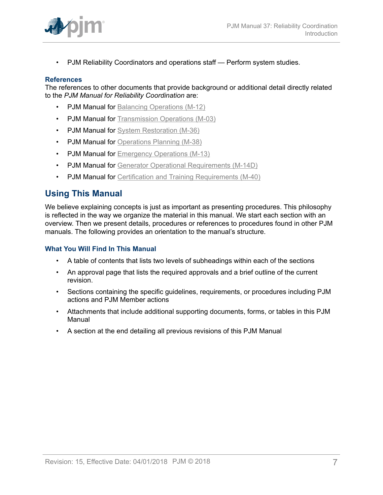

• PJM Reliability Coordinators and operations staff — Perform system studies.

#### <span id="page-6-0"></span>**References**

The references to other documents that provide background or additional detail directly related to the *PJM Manual for Reliability Coordination* are:

- **PJM Manual for [Balancing Operations \(M-12\)](http://www.pjm.com/~/media/documents/manuals/m12.ashx)**
- PJM Manual for [Transmission](http://www.pjm.com/~/media/documents/manuals/m03.ashx) Operations (M-03)
- PJM Manual for [System Restoration \(M-36\)](http://www.pjm.com/~/media/documents/manuals/m36.ashx)
- PJM Manual for [Operations Planning \(M-38\)](http://www.pjm.com/~/media/documents/manuals/m38.ashx)
- PJM Manual for [Emergency Operations \(M-13\)](http://www.pjm.com/~/media/documents/manuals/m13.ashx)
- PJM Manual for [Generator Operational Requirements \(M-14D\)](http://www.pjm.com/~/media/documents/manuals/m14d.ashx)
- PJM Manual for Certification and Training [Requirements](http://www.pjm.com/~/media/documents/manuals/m40.ashx) (M-40)

## <span id="page-6-1"></span>**Using This Manual**

We believe explaining concepts is just as important as presenting procedures. This philosophy is reflected in the way we organize the material in this manual. We start each section with an overview. Then we present details, procedures or references to procedures found in other PJM manuals. The following provides an orientation to the manual's structure.

### <span id="page-6-2"></span>**What You Will Find In This Manual**

- A table of contents that lists two levels of subheadings within each of the sections
- An approval page that lists the required approvals and a brief outline of the current revision.
- Sections containing the specific guidelines, requirements, or procedures including PJM actions and PJM Member actions
- Attachments that include additional supporting documents, forms, or tables in this PJM Manual
- A section at the end detailing all previous revisions of this PJM Manual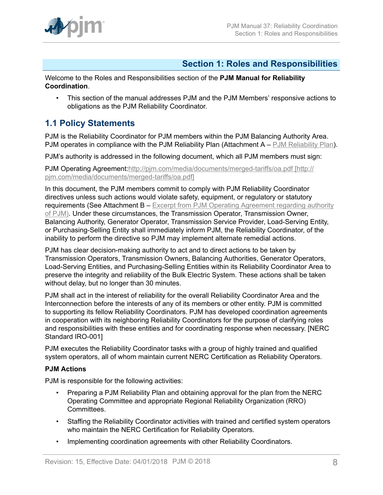

## <span id="page-7-0"></span>**Section 1: Roles and Responsibilities**

Welcome to the Roles and Responsibilities section of the **PJM Manual for Reliability Coordination**.

• This section of the manual addresses PJM and the PJM Members' responsive actions to obligations as the PJM Reliability Coordinator.

## <span id="page-7-1"></span>**1.1 Policy Statements**

PJM is the Reliability Coordinator for PJM members within the PJM Balancing Authority Area. PJM operates in compliance with the PJM Reliability Plan (Attachment A – PJM Reliability Plan).

PJM's authority is addressed in the following document, which all PJM members must sign:

PJM Operating Agreement[:http://pjm.com/media/documents/merged-tariffs/oa.pdf \[http://](http://pjm.com/media/documents/merged-tariffs/oa.pdf) [pjm.com/media/documents/merged-tariffs/oa.pdf\]](http://pjm.com/media/documents/merged-tariffs/oa.pdf)

In this document, the PJM members commit to comply with PJM Reliability Coordinator directives unless such actions would violate safety, equipment, or regulatory or statutory requirements (See Attachment B – Excerpt from PJM Operating Agreement regarding authority of PJM). Under these circumstances, the Transmission Operator, Transmission Owner, Balancing Authority, Generator Operator, Transmission Service Provider, Load-Serving Entity, or Purchasing-Selling Entity shall immediately inform PJM, the Reliability Coordinator, of the inability to perform the directive so PJM may implement alternate remedial actions.

PJM has clear decision-making authority to act and to direct actions to be taken by Transmission Operators, Transmission Owners, Balancing Authorities, Generator Operators, Load-Serving Entities, and Purchasing-Selling Entities within its Reliability Coordinator Area to preserve the integrity and reliability of the Bulk Electric System. These actions shall be taken without delay, but no longer than 30 minutes.

PJM shall act in the interest of reliability for the overall Reliability Coordinator Area and the Interconnection before the interests of any of its members or other entity. PJM is committed to supporting its fellow Reliability Coordinators. PJM has developed coordination agreements in cooperation with its neighboring Reliability Coordinators for the purpose of clarifying roles and responsibilities with these entities and for coordinating response when necessary. [NERC Standard IRO-001]

PJM executes the Reliability Coordinator tasks with a group of highly trained and qualified system operators, all of whom maintain current NERC Certification as Reliability Operators.

## **PJM Actions**

PJM is responsible for the following activities:

- Preparing a PJM Reliability Plan and obtaining approval for the plan from the NERC Operating Committee and appropriate Regional Reliability Organization (RRO) Committees.
- Staffing the Reliability Coordinator activities with trained and certified system operators who maintain the NERC Certification for Reliability Operators.
- Implementing coordination agreements with other Reliability Coordinators.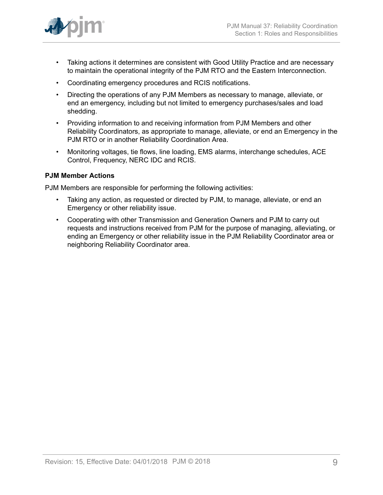

- Taking actions it determines are consistent with Good Utility Practice and are necessary to maintain the operational integrity of the PJM RTO and the Eastern Interconnection.
- Coordinating emergency procedures and RCIS notifications.
- Directing the operations of any PJM Members as necessary to manage, alleviate, or end an emergency, including but not limited to emergency purchases/sales and load shedding.
- Providing information to and receiving information from PJM Members and other Reliability Coordinators, as appropriate to manage, alleviate, or end an Emergency in the PJM RTO or in another Reliability Coordination Area.
- Monitoring voltages, tie flows, line loading, EMS alarms, interchange schedules, ACE Control, Frequency, NERC IDC and RCIS.

## **PJM Member Actions**

PJM Members are responsible for performing the following activities:

- Taking any action, as requested or directed by PJM, to manage, alleviate, or end an Emergency or other reliability issue.
- Cooperating with other Transmission and Generation Owners and PJM to carry out requests and instructions received from PJM for the purpose of managing, alleviating, or ending an Emergency or other reliability issue in the PJM Reliability Coordinator area or neighboring Reliability Coordinator area.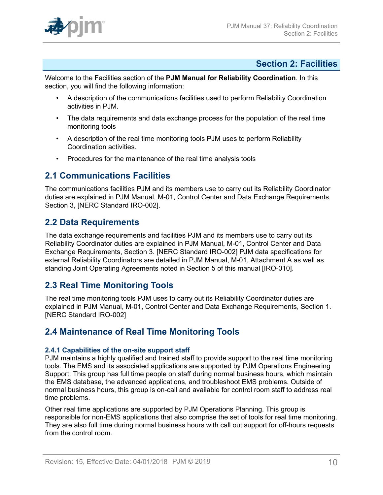

## <span id="page-9-0"></span>**Section 2: Facilities**

Welcome to the Facilities section of the **PJM Manual for Reliability Coordination**. In this section, you will find the following information:

- A description of the communications facilities used to perform Reliability Coordination activities in PJM.
- The data requirements and data exchange process for the population of the real time monitoring tools
- A description of the real time monitoring tools PJM uses to perform Reliability Coordination activities.
- Procedures for the maintenance of the real time analysis tools

## <span id="page-9-1"></span>**2.1 Communications Facilities**

The communications facilities PJM and its members use to carry out its Reliability Coordinator duties are explained in PJM Manual, M-01, Control Center and Data Exchange Requirements, Section 3, [NERC Standard IRO-002].

## <span id="page-9-2"></span>**2.2 Data Requirements**

The data exchange requirements and facilities PJM and its members use to carry out its Reliability Coordinator duties are explained in PJM Manual, M-01, Control Center and Data Exchange Requirements, Section 3. [NERC Standard IRO-002] PJM data specifications for external Reliability Coordinators are detailed in PJM Manual, M-01, Attachment A as well as standing Joint Operating Agreements noted in Section 5 of this manual [IRO-010].

## <span id="page-9-3"></span>**2.3 Real Time Monitoring Tools**

The real time monitoring tools PJM uses to carry out its Reliability Coordinator duties are explained in PJM Manual, M-01, Control Center and Data Exchange Requirements, Section 1. [NERC Standard IRO-002]

## <span id="page-9-4"></span>**2.4 Maintenance of Real Time Monitoring Tools**

## <span id="page-9-5"></span>**2.4.1 Capabilities of the on-site support staff**

PJM maintains a highly qualified and trained staff to provide support to the real time monitoring tools. The EMS and its associated applications are supported by PJM Operations Engineering Support. This group has full time people on staff during normal business hours, which maintain the EMS database, the advanced applications, and troubleshoot EMS problems. Outside of normal business hours, this group is on-call and available for control room staff to address real time problems.

Other real time applications are supported by PJM Operations Planning. This group is responsible for non-EMS applications that also comprise the set of tools for real time monitoring. They are also full time during normal business hours with call out support for off-hours requests from the control room.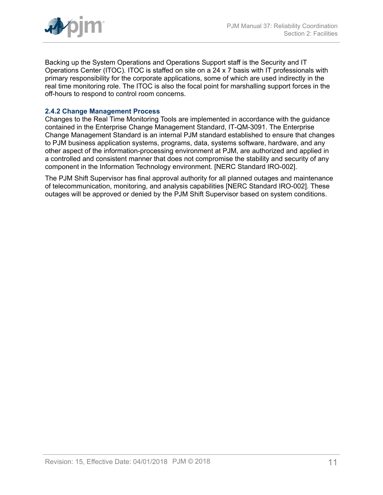

Backing up the System Operations and Operations Support staff is the Security and IT Operations Center (ITOC). ITOC is staffed on site on a 24 x 7 basis with IT professionals with primary responsibility for the corporate applications, some of which are used indirectly in the real time monitoring role. The ITOC is also the focal point for marshalling support forces in the off-hours to respond to control room concerns.

## <span id="page-10-0"></span>**2.4.2 Change Management Process**

Changes to the Real Time Monitoring Tools are implemented in accordance with the guidance contained in the Enterprise Change Management Standard, IT-QM-3091. The Enterprise Change Management Standard is an internal PJM standard established to ensure that changes to PJM business application systems, programs, data, systems software, hardware, and any other aspect of the information-processing environment at PJM, are authorized and applied in a controlled and consistent manner that does not compromise the stability and security of any component in the Information Technology environment. [NERC Standard IRO-002].

The PJM Shift Supervisor has final approval authority for all planned outages and maintenance of telecommunication, monitoring, and analysis capabilities [NERC Standard IRO-002]. These outages will be approved or denied by the PJM Shift Supervisor based on system conditions.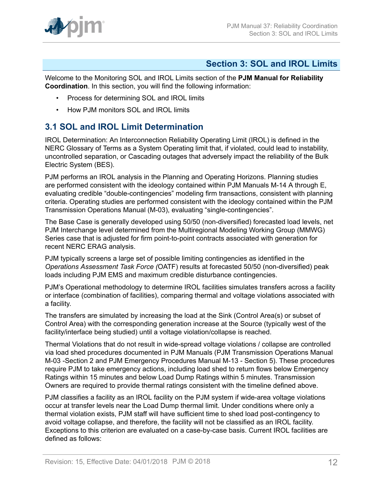

## <span id="page-11-0"></span>**Section 3: SOL and IROL Limits**

Welcome to the Monitoring SOL and IROL Limits section of the **PJM Manual for Reliability Coordination**. In this section, you will find the following information:

- Process for determining SOL and IROL limits
- How PJM monitors SOL and IROL limits

## <span id="page-11-1"></span>**3.1 SOL and IROL Limit Determination**

IROL Determination: An Interconnection Reliability Operating Limit (IROL) is defined in the NERC Glossary of Terms as a System Operating limit that, if violated, could lead to instability, uncontrolled separation, or Cascading outages that adversely impact the reliability of the Bulk Electric System (BES).

PJM performs an IROL analysis in the Planning and Operating Horizons. Planning studies are performed consistent with the ideology contained within PJM Manuals M-14 A through E, evaluating credible "double-contingencies" modeling firm transactions, consistent with planning criteria. Operating studies are performed consistent with the ideology contained within the PJM Transmission Operations Manual (M-03), evaluating "single-contingencies".

The Base Case is generally developed using 50/50 (non-diversified) forecasted load levels, net PJM Interchange level determined from the Multiregional Modeling Working Group (MMWG) Series case that is adjusted for firm point-to-point contracts associated with generation for recent NERC ERAG analysis.

PJM typically screens a large set of possible limiting contingencies as identified in the *Operations Assessment Task Force (*OATF) results at forecasted 50/50 (non-diversified) peak loads including PJM EMS and maximum credible disturbance contingencies.

PJM's Operational methodology to determine IROL facilities simulates transfers across a facility or interface (combination of facilities), comparing thermal and voltage violations associated with a facility.

The transfers are simulated by increasing the load at the Sink (Control Area(s) or subset of Control Area) with the corresponding generation increase at the Source (typically west of the facility/interface being studied) until a voltage violation/collapse is reached.

Thermal Violations that do not result in wide-spread voltage violations / collapse are controlled via load shed procedures documented in PJM Manuals (PJM Transmission Operations Manual M-03 -Section 2 and PJM Emergency Procedures Manual M-13 - Section 5). These procedures require PJM to take emergency actions, including load shed to return flows below Emergency Ratings within 15 minutes and below Load Dump Ratings within 5 minutes. Transmission Owners are required to provide thermal ratings consistent with the timeline defined above.

PJM classifies a facility as an IROL facility on the PJM system if wide-area voltage violations occur at transfer levels near the Load Dump thermal limit. Under conditions where only a thermal violation exists, PJM staff will have sufficient time to shed load post-contingency to avoid voltage collapse, and therefore, the facility will not be classified as an IROL facility. Exceptions to this criterion are evaluated on a case-by-case basis. Current IROL facilities are defined as follows: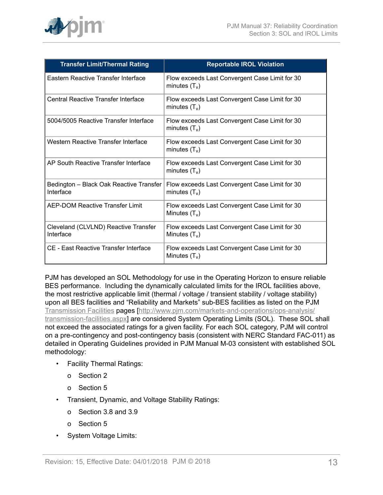

| <b>Transfer Limit/Thermal Rating</b>                 | <b>Reportable IROL Violation</b>                                  |
|------------------------------------------------------|-------------------------------------------------------------------|
| Eastern Reactive Transfer Interface                  | Flow exceeds Last Convergent Case Limit for 30<br>minutes $(T_v)$ |
| Central Reactive Transfer Interface                  | Flow exceeds Last Convergent Case Limit for 30<br>minutes $(T_v)$ |
| 5004/5005 Reactive Transfer Interface                | Flow exceeds Last Convergent Case Limit for 30<br>minutes $(T_v)$ |
| Western Reactive Transfer Interface                  | Flow exceeds Last Convergent Case Limit for 30<br>minutes $(T_v)$ |
| AP South Reactive Transfer Interface                 | Flow exceeds Last Convergent Case Limit for 30<br>minutes $(T_v)$ |
| Bedington - Black Oak Reactive Transfer<br>Interface | Flow exceeds Last Convergent Case Limit for 30<br>minutes $(T_v)$ |
| AEP-DOM Reactive Transfer Limit                      | Flow exceeds Last Convergent Case Limit for 30<br>Minutes $(T_v)$ |
| Cleveland (CLVLND) Reactive Transfer<br>Interface    | Flow exceeds Last Convergent Case Limit for 30<br>Minutes $(T_v)$ |
| <b>CE - East Reactive Transfer Interface</b>         | Flow exceeds Last Convergent Case Limit for 30<br>Minutes $(T_v)$ |

PJM has developed an SOL Methodology for use in the Operating Horizon to ensure reliable BES performance. Including the dynamically calculated limits for the IROL facilities above, the most restrictive applicable limit (thermal / voltage / transient stability / voltage stability) upon all BES facilities and "Reliability and Markets" sub-BES facilities as listed on the PJM [Transmission](http://www.pjm.com/markets-and-operations/transmission-service/transmission-facilities.aspx) Facilities pages [[http://www.pjm.com/markets-and-operations/ops-analysis/](http://www.pjm.com/markets-and-operations/ops-analysis/transmission-facilities.aspx) [transmission-facilities.aspx\]](http://www.pjm.com/markets-and-operations/ops-analysis/transmission-facilities.aspx) are considered System Operating Limits (SOL). These SOL shall not exceed the associated ratings for a given facility. For each SOL category, PJM will control on a pre-contingency and post-contingency basis (consistent with NERC Standard FAC-011) as detailed in Operating Guidelines provided in PJM Manual M-03 consistent with established SOL methodology:

- Facility Thermal Ratings:
	- o Section 2
	- o Section 5
- Transient, Dynamic, and Voltage Stability Ratings:
	- o Section 3.8 and 3.9
	- o Section 5
- System Voltage Limits: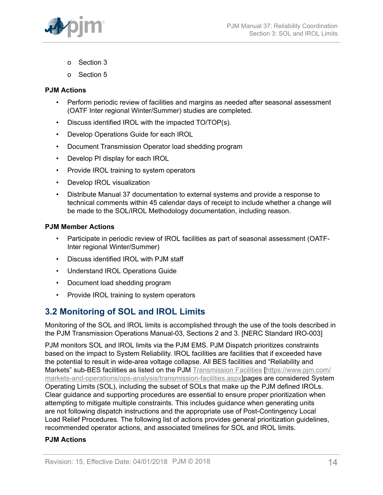

- o Section 3
- o Section 5

#### **PJM Actions**

- Perform periodic review of facilities and margins as needed after seasonal assessment (OATF Inter regional Winter/Summer) studies are completed.
- Discuss identified IROL with the impacted TO/TOP(s).
- Develop Operations Guide for each IROL
- Document Transmission Operator load shedding program
- Develop PI display for each IROL
- Provide IROL training to system operators
- Develop IROL visualization
- Distribute Manual 37 documentation to external systems and provide a response to technical comments within 45 calendar days of receipt to include whether a change will be made to the SOL/IROL Methodology documentation, including reason.

### **PJM Member Actions**

- Participate in periodic review of IROL facilities as part of seasonal assessment (OATF-Inter regional Winter/Summer)
- Discuss identified IROL with PJM staff
- Understand IROL Operations Guide
- Document load shedding program
- Provide IROL training to system operators

## <span id="page-13-0"></span>**3.2 Monitoring of SOL and IROL Limits**

Monitoring of the SOL and IROL limits is accomplished through the use of the tools described in the PJM Transmission Operations Manual-03, Sections 2 and 3. [NERC Standard IRO-003]

PJM monitors SOL and IROL limits via the PJM EMS. PJM Dispatch prioritizes constraints based on the impact to System Reliability. IROL facilities are facilities that if exceeded have the potential to result in wide-area voltage collapse. All BES facilities and "Reliability and Markets" sub-BES facilities as listed on the PJM [Transmission](http://www.pjm.com/markets-and-operations/ops-analysis/transmission-facilities.aspx) Facilities [\[https://www.pjm.com/](https://www.pjm.com/markets-and-operations/ops-analysis/transmission-facilities.aspx) [markets-and-operations/ops-analysis/transmission-facilities.aspx](https://www.pjm.com/markets-and-operations/ops-analysis/transmission-facilities.aspx)]pages are considered System Operating Limits (SOL), including the subset of SOLs that make up the PJM defined IROLs. Clear guidance and supporting procedures are essential to ensure proper prioritization when attempting to mitigate multiple constraints. This includes guidance when generating units are not following dispatch instructions and the appropriate use of Post-Contingency Local Load Relief Procedures. The following list of actions provides general prioritization guidelines, recommended operator actions, and associated timelines for SOL and IROL limits.

## **PJM Actions**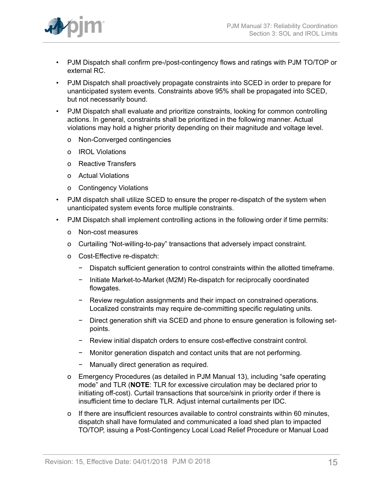

- PJM Dispatch shall confirm pre-/post-contingency flows and ratings with PJM TO/TOP or external RC.
- PJM Dispatch shall proactively propagate constraints into SCED in order to prepare for unanticipated system events. Constraints above 95% shall be propagated into SCED, but not necessarily bound.
- PJM Dispatch shall evaluate and prioritize constraints, looking for common controlling actions. In general, constraints shall be prioritized in the following manner. Actual violations may hold a higher priority depending on their magnitude and voltage level.
	- o Non-Converged contingencies
	- o IROL Violations
	- o Reactive Transfers
	- o Actual Violations
	- o Contingency Violations
- PJM dispatch shall utilize SCED to ensure the proper re-dispatch of the system when unanticipated system events force multiple constraints.
- PJM Dispatch shall implement controlling actions in the following order if time permits:
	- o Non-cost measures
	- o Curtailing "Not-willing-to-pay" transactions that adversely impact constraint.
	- o Cost-Effective re-dispatch:
		- − Dispatch sufficient generation to control constraints within the allotted timeframe.
		- − Initiate Market-to-Market (M2M) Re-dispatch for reciprocally coordinated flowgates.
		- − Review regulation assignments and their impact on constrained operations. Localized constraints may require de-committing specific regulating units.
		- − Direct generation shift via SCED and phone to ensure generation is following setpoints.
		- − Review initial dispatch orders to ensure cost-effective constraint control.
		- − Monitor generation dispatch and contact units that are not performing.
		- − Manually direct generation as required.
	- o Emergency Procedures (as detailed in PJM Manual 13), including "safe operating mode" and TLR (**NOTE**: TLR for excessive circulation may be declared prior to initiating off-cost). Curtail transactions that source/sink in priority order if there is insufficient time to declare TLR. Adjust internal curtailments per IDC.
	- o If there are insufficient resources available to control constraints within 60 minutes, dispatch shall have formulated and communicated a load shed plan to impacted TO/TOP, issuing a Post-Contingency Local Load Relief Procedure or Manual Load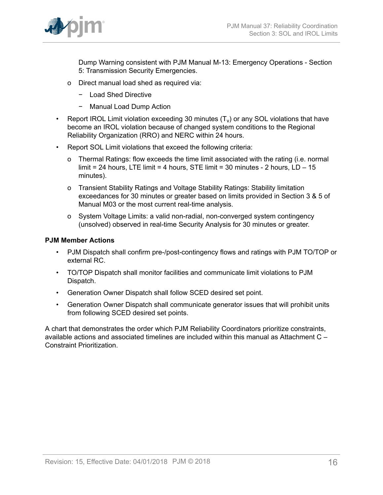

Dump Warning consistent with PJM Manual M-13: Emergency Operations - Section 5: Transmission Security Emergencies.

- o Direct manual load shed as required via:
	- − Load Shed Directive
	- − Manual Load Dump Action
- Report IROL Limit violation exceeding 30 minutes  $(T_v)$  or any SOL violations that have become an IROL violation because of changed system conditions to the Regional Reliability Organization (RRO) and NERC within 24 hours.
- Report SOL Limit violations that exceed the following criteria:
	- o Thermal Ratings: flow exceeds the time limit associated with the rating (i.e. normal limit = 24 hours, LTE limit = 4 hours, STE limit = 30 minutes - 2 hours,  $LD - 15$ minutes).
	- o Transient Stability Ratings and Voltage Stability Ratings: Stability limitation exceedances for 30 minutes or greater based on limits provided in Section 3 & 5 of Manual M03 or the most current real-time analysis.
	- o System Voltage Limits: a valid non-radial, non-converged system contingency (unsolved) observed in real-time Security Analysis for 30 minutes or greater.

## **PJM Member Actions**

- PJM Dispatch shall confirm pre-/post-contingency flows and ratings with PJM TO/TOP or external RC.
- TO/TOP Dispatch shall monitor facilities and communicate limit violations to PJM Dispatch.
- Generation Owner Dispatch shall follow SCED desired set point.
- Generation Owner Dispatch shall communicate generator issues that will prohibit units from following SCED desired set points.

A chart that demonstrates the order which PJM Reliability Coordinators prioritize constraints, available actions and associated timelines are included within this manual as Attachment C – Constraint Prioritization.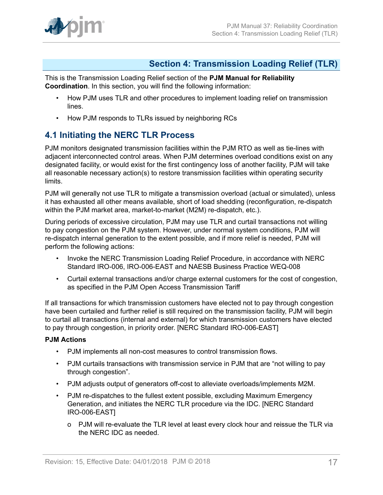

## <span id="page-16-0"></span>**Section 4: Transmission Loading Relief (TLR)**

This is the Transmission Loading Relief section of the **PJM Manual for Reliability Coordination**. In this section, you will find the following information:

- How PJM uses TLR and other procedures to implement loading relief on transmission lines.
- How PJM responds to TLRs issued by neighboring RCs

## <span id="page-16-1"></span>**4.1 Initiating the NERC TLR Process**

PJM monitors designated transmission facilities within the PJM RTO as well as tie-lines with adjacent interconnected control areas. When PJM determines overload conditions exist on any designated facility, or would exist for the first contingency loss of another facility, PJM will take all reasonable necessary action(s) to restore transmission facilities within operating security limits.

PJM will generally not use TLR to mitigate a transmission overload (actual or simulated), unless it has exhausted all other means available, short of load shedding (reconfiguration, re-dispatch within the PJM market area, market-to-market (M2M) re-dispatch, etc.).

During periods of excessive circulation, PJM may use TLR and curtail transactions not willing to pay congestion on the PJM system. However, under normal system conditions, PJM will re-dispatch internal generation to the extent possible, and if more relief is needed, PJM will perform the following actions:

- Invoke the NERC Transmission Loading Relief Procedure, in accordance with NERC Standard IRO-006, IRO-006-EAST and NAESB Business Practice WEQ-008
- Curtail external transactions and/or charge external customers for the cost of congestion, as specified in the PJM Open Access Transmission Tariff

If all transactions for which transmission customers have elected not to pay through congestion have been curtailed and further relief is still required on the transmission facility, PJM will begin to curtail all transactions (internal and external) for which transmission customers have elected to pay through congestion, in priority order. [NERC Standard IRO-006-EAST]

## **PJM Actions**

- PJM implements all non-cost measures to control transmission flows.
- PJM curtails transactions with transmission service in PJM that are "not willing to pay through congestion".
- PJM adjusts output of generators off-cost to alleviate overloads/implements M2M.
- PJM re-dispatches to the fullest extent possible, excluding Maximum Emergency Generation, and initiates the NERC TLR procedure via the IDC. [NERC Standard IRO-006-EAST]
	- o PJM will re-evaluate the TLR level at least every clock hour and reissue the TLR via the NERC IDC as needed.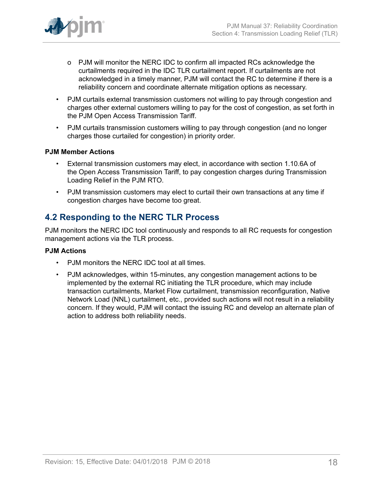

- o PJM will monitor the NERC IDC to confirm all impacted RCs acknowledge the curtailments required in the IDC TLR curtailment report. If curtailments are not acknowledged in a timely manner, PJM will contact the RC to determine if there is a reliability concern and coordinate alternate mitigation options as necessary.
- PJM curtails external transmission customers not willing to pay through congestion and charges other external customers willing to pay for the cost of congestion, as set forth in the PJM Open Access Transmission Tariff.
- PJM curtails transmission customers willing to pay through congestion (and no longer charges those curtailed for congestion) in priority order.

## **PJM Member Actions**

- External transmission customers may elect, in accordance with section 1.10.6A of the Open Access Transmission Tariff, to pay congestion charges during Transmission Loading Relief in the PJM RTO.
- PJM transmission customers may elect to curtail their own transactions at any time if congestion charges have become too great.

## <span id="page-17-0"></span>**4.2 Responding to the NERC TLR Process**

PJM monitors the NERC IDC tool continuously and responds to all RC requests for congestion management actions via the TLR process.

## **PJM Actions**

- PJM monitors the NERC IDC tool at all times.
- PJM acknowledges, within 15-minutes, any congestion management actions to be implemented by the external RC initiating the TLR procedure, which may include transaction curtailments, Market Flow curtailment, transmission reconfiguration, Native Network Load (NNL) curtailment, etc., provided such actions will not result in a reliability concern. If they would, PJM will contact the issuing RC and develop an alternate plan of action to address both reliability needs.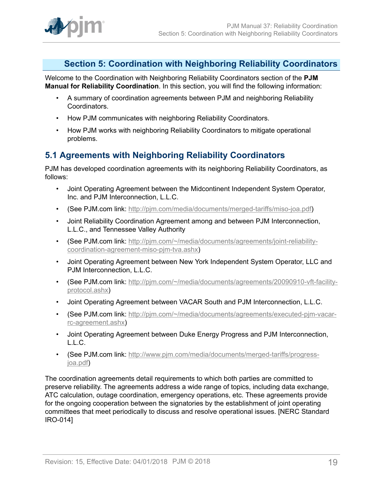

## <span id="page-18-0"></span>**Section 5: Coordination with Neighboring Reliability Coordinators**

Welcome to the Coordination with Neighboring Reliability Coordinators section of the **PJM Manual for Reliability Coordination**. In this section, you will find the following information:

- A summary of coordination agreements between PJM and neighboring Reliability Coordinators.
- How PJM communicates with neighboring Reliability Coordinators.
- How PJM works with neighboring Reliability Coordinators to mitigate operational problems.

## <span id="page-18-1"></span>**5.1 Agreements with Neighboring Reliability Coordinators**

PJM has developed coordination agreements with its neighboring Reliability Coordinators, as follows:

- Joint Operating Agreement between the Midcontinent Independent System Operator, Inc. and PJM Interconnection, L.L.C.
- (See PJM.com link: [http://pjm.com/media/documents/merged-tariffs/miso-joa.pdf\)](http://pjm.com/media/documents/merged-tariffs/miso-joa.pdf)
- Joint Reliability Coordination Agreement among and between PJM Interconnection, L.L.C., and Tennessee Valley Authority
- (See PJM.com link: [http://pjm.com/~/media/documents/agreements/joint-reliability](http://pjm.com/~/media/documents/agreements/joint-reliability-coordination-agreement-miso-pjm-tva.ashx)[coordination-agreement-miso-pjm-tva.ashx\)](http://pjm.com/~/media/documents/agreements/joint-reliability-coordination-agreement-miso-pjm-tva.ashx)
- Joint Operating Agreement between New York Independent System Operator, LLC and PJM Interconnection, L.L.C.
- (See PJM.com link: [http://pjm.com/~/media/documents/agreements/20090910-vft-facility](http://pjm.com/~/media/documents/agreements/20090910-vft-facility-protocol.ashx)[protocol.ashx](http://pjm.com/~/media/documents/agreements/20090910-vft-facility-protocol.ashx))
- Joint Operating Agreement between VACAR South and PJM Interconnection, L.L.C.
- (See PJM.com link: [http://pjm.com/~/media/documents/agreements/executed-pjm-vacar](http://pjm.com/~/media/documents/agreements/executed-pjm-vacar-rc-agreement.ashx)[rc-agreement.ashx](http://pjm.com/~/media/documents/agreements/executed-pjm-vacar-rc-agreement.ashx))
- Joint Operating Agreement between Duke Energy Progress and PJM Interconnection, L.L.C.
- (See PJM.com link: [http://www.pjm.com/media/documents/merged-tariffs/progress](http://www.pjm.com/media/documents/merged-tariffs/progress-joa.pdf)[joa.pdf\)](http://www.pjm.com/media/documents/merged-tariffs/progress-joa.pdf)

The coordination agreements detail requirements to which both parties are committed to preserve reliability. The agreements address a wide range of topics, including data exchange, ATC calculation, outage coordination, emergency operations, etc. These agreements provide for the ongoing cooperation between the signatories by the establishment of joint operating committees that meet periodically to discuss and resolve operational issues. [NERC Standard IRO-014]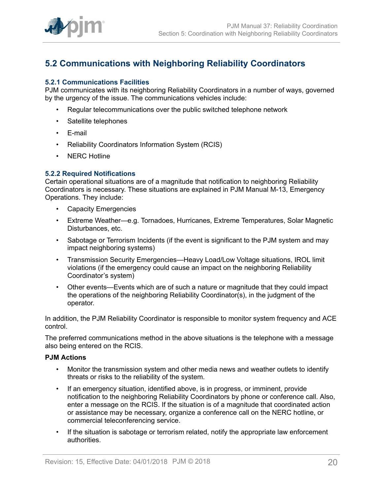

## <span id="page-19-0"></span>**5.2 Communications with Neighboring Reliability Coordinators**

### <span id="page-19-1"></span>**5.2.1 Communications Facilities**

PJM communicates with its neighboring Reliability Coordinators in a number of ways, governed by the urgency of the issue. The communications vehicles include:

- Regular telecommunications over the public switched telephone network
- Satellite telephones
- E-mail
- Reliability Coordinators Information System (RCIS)
- NERC Hotline

#### <span id="page-19-2"></span>**5.2.2 Required Notifications**

Certain operational situations are of a magnitude that notification to neighboring Reliability Coordinators is necessary. These situations are explained in PJM Manual M-13, Emergency Operations. They include:

- Capacity Emergencies
- Extreme Weather—e.g. Tornadoes, Hurricanes, Extreme Temperatures, Solar Magnetic Disturbances, etc.
- Sabotage or Terrorism Incidents (if the event is significant to the PJM system and may impact neighboring systems)
- Transmission Security Emergencies—Heavy Load/Low Voltage situations, IROL limit violations (if the emergency could cause an impact on the neighboring Reliability Coordinator's system)
- Other events—Events which are of such a nature or magnitude that they could impact the operations of the neighboring Reliability Coordinator(s), in the judgment of the operator.

In addition, the PJM Reliability Coordinator is responsible to monitor system frequency and ACE control.

The preferred communications method in the above situations is the telephone with a message also being entered on the RCIS.

#### **PJM Actions**

- Monitor the transmission system and other media news and weather outlets to identify threats or risks to the reliability of the system.
- If an emergency situation, identified above, is in progress, or imminent, provide notification to the neighboring Reliability Coordinators by phone or conference call. Also, enter a message on the RCIS. If the situation is of a magnitude that coordinated action or assistance may be necessary, organize a conference call on the NERC hotline, or commercial teleconferencing service.
- If the situation is sabotage or terrorism related, notify the appropriate law enforcement authorities.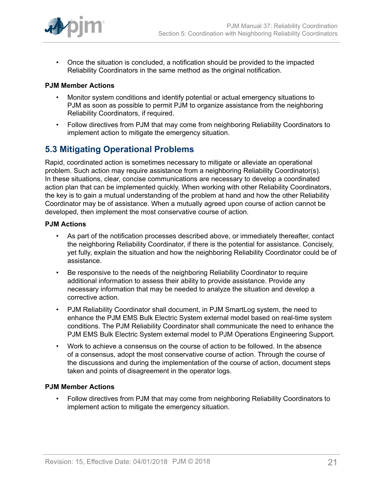

• Once the situation is concluded, a notification should be provided to the impacted Reliability Coordinators in the same method as the original notification.

### **PJM Member Actions**

- Monitor system conditions and identify potential or actual emergency situations to PJM as soon as possible to permit PJM to organize assistance from the neighboring Reliability Coordinators, if required.
- Follow directives from PJM that may come from neighboring Reliability Coordinators to implement action to mitigate the emergency situation.

## <span id="page-20-0"></span>**5.3 Mitigating Operational Problems**

Rapid, coordinated action is sometimes necessary to mitigate or alleviate an operational problem. Such action may require assistance from a neighboring Reliability Coordinator(s). In these situations, clear, concise communications are necessary to develop a coordinated action plan that can be implemented quickly. When working with other Reliability Coordinators, the key is to gain a mutual understanding of the problem at hand and how the other Reliability Coordinator may be of assistance. When a mutually agreed upon course of action cannot be developed, then implement the most conservative course of action.

#### **PJM Actions**

- As part of the notification processes described above, or immediately thereafter, contact the neighboring Reliability Coordinator, if there is the potential for assistance. Concisely, yet fully, explain the situation and how the neighboring Reliability Coordinator could be of assistance.
- Be responsive to the needs of the neighboring Reliability Coordinator to require additional information to assess their ability to provide assistance. Provide any necessary information that may be needed to analyze the situation and develop a corrective action.
- PJM Reliability Coordinator shall document, in PJM SmartLog system, the need to enhance the PJM EMS Bulk Electric System external model based on real-time system conditions. The PJM Reliability Coordinator shall communicate the need to enhance the PJM EMS Bulk Electric System external model to PJM Operations Engineering Support.
- Work to achieve a consensus on the course of action to be followed. In the absence of a consensus, adopt the most conservative course of action. Through the course of the discussions and during the implementation of the course of action, document steps taken and points of disagreement in the operator logs.

## **PJM Member Actions**

• Follow directives from PJM that may come from neighboring Reliability Coordinators to implement action to mitigate the emergency situation.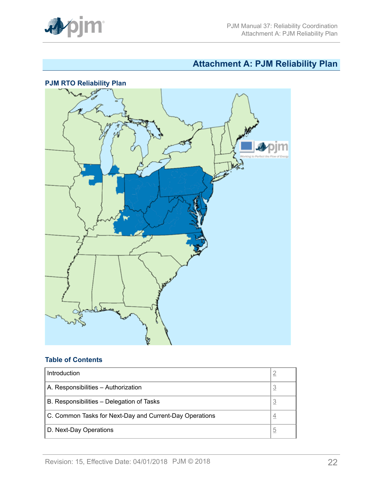

# <span id="page-21-0"></span>**Attachment A: PJM Reliability Plan**



## **Table of Contents**

| Introduction                                            |          |
|---------------------------------------------------------|----------|
| A. Responsibilities - Authorization                     | <u>3</u> |
| B. Responsibilities – Delegation of Tasks               | 3        |
| C. Common Tasks for Next-Day and Current-Day Operations | 4        |
| D. Next-Day Operations                                  | b        |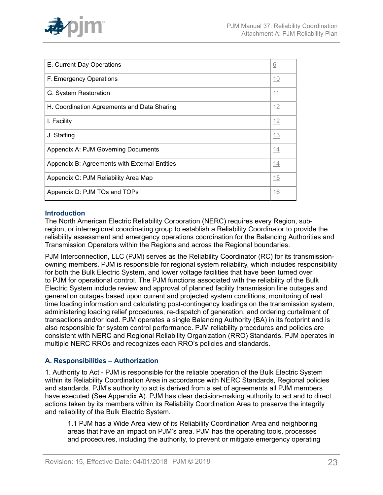

| E. Current-Day Operations                     | 6  |
|-----------------------------------------------|----|
| F. Emergency Operations                       | 10 |
| G. System Restoration                         | 11 |
| H. Coordination Agreements and Data Sharing   | 12 |
| I. Facility                                   | 12 |
| J. Staffing                                   | 13 |
| Appendix A: PJM Governing Documents           | 14 |
| Appendix B: Agreements with External Entities | 14 |
| Appendix C: PJM Reliability Area Map          | 15 |
| Appendix D: PJM TOs and TOPs                  | 16 |

## <span id="page-22-0"></span>**Introduction**

The North American Electric Reliability Corporation (NERC) requires every Region, subregion, or interregional coordinating group to establish a Reliability Coordinator to provide the reliability assessment and emergency operations coordination for the Balancing Authorities and Transmission Operators within the Regions and across the Regional boundaries.

PJM Interconnection, LLC (PJM) serves as the Reliability Coordinator (RC) for its transmissionowning members. PJM is responsible for regional system reliability, which includes responsibility for both the Bulk Electric System, and lower voltage facilities that have been turned over to PJM for operational control. The PJM functions associated with the reliability of the Bulk Electric System include review and approval of planned facility transmission line outages and generation outages based upon current and projected system conditions, monitoring of real time loading information and calculating post-contingency loadings on the transmission system, administering loading relief procedures, re-dispatch of generation, and ordering curtailment of transactions and/or load. PJM operates a single Balancing Authority (BA) in its footprint and is also responsible for system control performance. PJM reliability procedures and policies are consistent with NERC and Regional Reliability Organization (RRO) Standards. PJM operates in multiple NERC RROs and recognizes each RRO's policies and standards.

## <span id="page-22-1"></span>**A. Responsibilities – Authorization**

1. Authority to Act - PJM is responsible for the reliable operation of the Bulk Electric System within its Reliability Coordination Area in accordance with NERC Standards, Regional policies and standards. PJM's authority to act is derived from a set of agreements all PJM members have executed (See Appendix A). PJM has clear decision-making authority to act and to direct actions taken by its members within its Reliability Coordination Area to preserve the integrity and reliability of the Bulk Electric System.

1.1 PJM has a Wide Area view of its Reliability Coordination Area and neighboring areas that have an impact on PJM's area. PJM has the operating tools, processes and procedures, including the authority, to prevent or mitigate emergency operating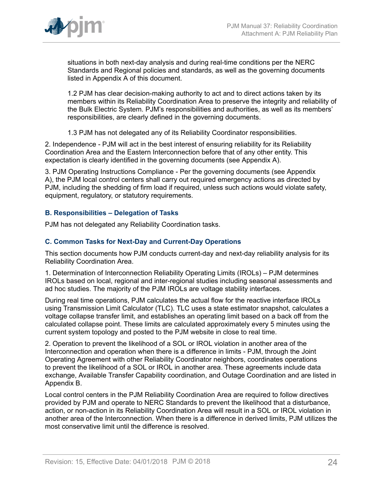

situations in both next-day analysis and during real-time conditions per the NERC Standards and Regional policies and standards, as well as the governing documents listed in Appendix A of this document.

1.2 PJM has clear decision-making authority to act and to direct actions taken by its members within its Reliability Coordination Area to preserve the integrity and reliability of the Bulk Electric System. PJM's responsibilities and authorities, as well as its members' responsibilities, are clearly defined in the governing documents.

1.3 PJM has not delegated any of its Reliability Coordinator responsibilities.

2. Independence - PJM will act in the best interest of ensuring reliability for its Reliability Coordination Area and the Eastern Interconnection before that of any other entity. This expectation is clearly identified in the governing documents (see Appendix A).

3. PJM Operating Instructions Compliance - Per the governing documents (see Appendix A), the PJM local control centers shall carry out required emergency actions as directed by PJM, including the shedding of firm load if required, unless such actions would violate safety, equipment, regulatory, or statutory requirements.

## <span id="page-23-0"></span>**B. Responsibilities – Delegation of Tasks**

PJM has not delegated any Reliability Coordination tasks.

## <span id="page-23-1"></span>**C. Common Tasks for Next-Day and Current-Day Operations**

This section documents how PJM conducts current-day and next-day reliability analysis for its Reliability Coordination Area.

1. Determination of Interconnection Reliability Operating Limits (IROLs) – PJM determines IROLs based on local, regional and inter-regional studies including seasonal assessments and ad hoc studies. The majority of the PJM IROLs are voltage stability interfaces.

During real time operations, PJM calculates the actual flow for the reactive interface IROLs using Transmission Limit Calculator (TLC). TLC uses a state estimator snapshot, calculates a voltage collapse transfer limit, and establishes an operating limit based on a back off from the calculated collapse point. These limits are calculated approximately every 5 minutes using the current system topology and posted to the PJM website in close to real time.

2. Operation to prevent the likelihood of a SOL or IROL violation in another area of the Interconnection and operation when there is a difference in limits - PJM, through the Joint Operating Agreement with other Reliability Coordinator neighbors, coordinates operations to prevent the likelihood of a SOL or IROL in another area. These agreements include data exchange, Available Transfer Capability coordination, and Outage Coordination and are listed in Appendix B.

Local control centers in the PJM Reliability Coordination Area are required to follow directives provided by PJM and operate to NERC Standards to prevent the likelihood that a disturbance, action, or non-action in its Reliability Coordination Area will result in a SOL or IROL violation in another area of the Interconnection. When there is a difference in derived limits, PJM utilizes the most conservative limit until the difference is resolved.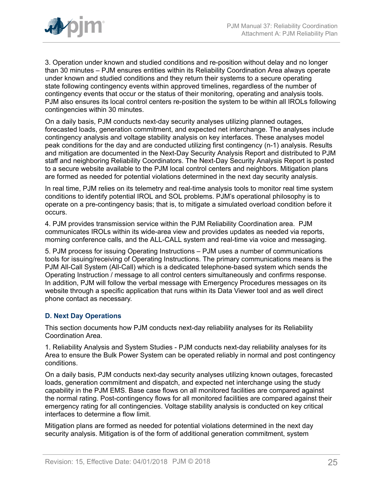

3. Operation under known and studied conditions and re-position without delay and no longer than 30 minutes – PJM ensures entities within its Reliability Coordination Area always operate under known and studied conditions and they return their systems to a secure operating state following contingency events within approved timelines, regardless of the number of contingency events that occur or the status of their monitoring, operating and analysis tools. PJM also ensures its local control centers re-position the system to be within all IROLs following contingencies within 30 minutes.

On a daily basis, PJM conducts next-day security analyses utilizing planned outages, forecasted loads, generation commitment, and expected net interchange. The analyses include contingency analysis and voltage stability analysis on key interfaces. These analyses model peak conditions for the day and are conducted utilizing first contingency (n-1) analysis. Results and mitigation are documented in the Next-Day Security Analysis Report and distributed to PJM staff and neighboring Reliability Coordinators. The Next-Day Security Analysis Report is posted to a secure website available to the PJM local control centers and neighbors. Mitigation plans are formed as needed for potential violations determined in the next day security analysis.

In real time, PJM relies on its telemetry and real-time analysis tools to monitor real time system conditions to identify potential IROL and SOL problems. PJM's operational philosophy is to operate on a pre-contingency basis; that is, to mitigate a simulated overload condition before it occurs.

4. PJM provides transmission service within the PJM Reliability Coordination area. PJM communicates IROLs within its wide-area view and provides updates as needed via reports, morning conference calls, and the ALL-CALL system and real-time via voice and messaging.

5. PJM process for issuing Operating Instructions – PJM uses a number of communications tools for issuing/receiving of Operating Instructions. The primary communications means is the PJM All-Call System (All-Call) which is a dedicated telephone-based system which sends the Operating Instruction / message to all control centers simultaneously and confirms response. In addition, PJM will follow the verbal message with Emergency Procedures messages on its website through a specific application that runs within its Data Viewer tool and as well direct phone contact as necessary.

## <span id="page-24-0"></span>**D. Next Day Operations**

This section documents how PJM conducts next-day reliability analyses for its Reliability Coordination Area.

1. Reliability Analysis and System Studies - PJM conducts next-day reliability analyses for its Area to ensure the Bulk Power System can be operated reliably in normal and post contingency conditions.

On a daily basis, PJM conducts next-day security analyses utilizing known outages, forecasted loads, generation commitment and dispatch, and expected net interchange using the study capability in the PJM EMS. Base case flows on all monitored facilities are compared against the normal rating. Post-contingency flows for all monitored facilities are compared against their emergency rating for all contingencies. Voltage stability analysis is conducted on key critical interfaces to determine a flow limit.

Mitigation plans are formed as needed for potential violations determined in the next day security analysis. Mitigation is of the form of additional generation commitment, system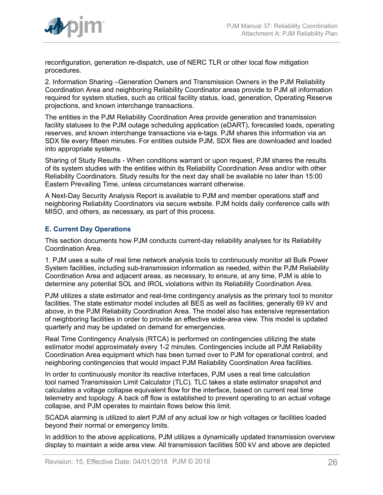

reconfiguration, generation re-dispatch, use of NERC TLR or other local flow mitigation procedures.

2. Information Sharing –Generation Owners and Transmission Owners in the PJM Reliability Coordination Area and neighboring Reliability Coordinator areas provide to PJM all information required for system studies, such as critical facility status, load, generation, Operating Reserve projections, and known interchange transactions.

The entities in the PJM Reliability Coordination Area provide generation and transmission facility statuses to the PJM outage scheduling application (eDART), forecasted loads, operating reserves, and known interchange transactions via e-tags. PJM shares this information via an SDX file every fifteen minutes. For entities outside PJM, SDX files are downloaded and loaded into appropriate systems.

Sharing of Study Results - When conditions warrant or upon request, PJM shares the results of its system studies with the entities within its Reliability Coordination Area and/or with other Reliability Coordinators. Study results for the next day shall be available no later than 15:00 Eastern Prevailing Time, unless circumstances warrant otherwise.

A Next-Day Security Analysis Report is available to PJM and member operations staff and neighboring Reliability Coordinators via secure website. PJM holds daily conference calls with MISO, and others, as necessary, as part of this process.

## <span id="page-25-0"></span>**E. Current Day Operations**

This section documents how PJM conducts current-day reliability analyses for its Reliability Coordination Area.

1. PJM uses a suite of real time network analysis tools to continuously monitor all Bulk Power System facilities, including sub-transmission information as needed, within the PJM Reliability Coordination Area and adjacent areas, as necessary, to ensure, at any time, PJM is able to determine any potential SOL and IROL violations within its Reliability Coordination Area.

PJM utilizes a state estimator and real-time contingency analysis as the primary tool to monitor facilities. The state estimator model includes all BES as well as facilities, generally 69 kV and above, in the PJM Reliability Coordination Area. The model also has extensive representation of neighboring facilities in order to provide an effective wide-area view. This model is updated quarterly and may be updated on demand for emergencies.

Real Time Contingency Analysis (RTCA) is performed on contingencies utilizing the state estimator model approximately every 1-2 minutes. Contingencies include all PJM Reliability Coordination Area equipment which has been turned over to PJM for operational control, and neighboring contingencies that would impact PJM Reliability Coordination Area facilities.

In order to continuously monitor its reactive interfaces, PJM uses a real time calculation tool named Transmission Limit Calculator (TLC). TLC takes a state estimator snapshot and calculates a voltage collapse equivalent flow for the interface, based on current real time telemetry and topology. A back off flow is established to prevent operating to an actual voltage collapse, and PJM operates to maintain flows below this limit.

SCADA alarming is utilized to alert PJM of any actual low or high voltages or facilities loaded beyond their normal or emergency limits.

In addition to the above applications, PJM utilizes a dynamically updated transmission overview display to maintain a wide area view. All transmission facilities 500 kV and above are depicted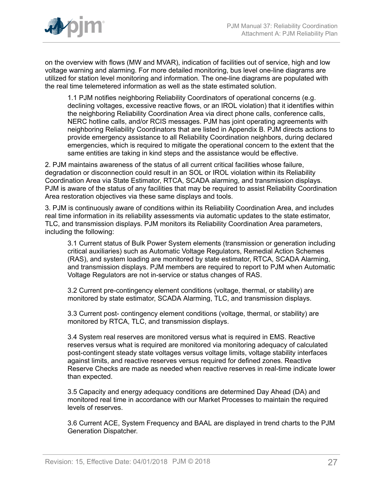

on the overview with flows (MW and MVAR), indication of facilities out of service, high and low voltage warning and alarming. For more detailed monitoring, bus level one-line diagrams are utilized for station level monitoring and information. The one-line diagrams are populated with the real time telemetered information as well as the state estimated solution.

1.1 PJM notifies neighboring Reliability Coordinators of operational concerns (e.g. declining voltages, excessive reactive flows, or an IROL violation) that it identifies within the neighboring Reliability Coordination Area via direct phone calls, conference calls, NERC hotline calls, and/or RCIS messages. PJM has joint operating agreements with neighboring Reliability Coordinators that are listed in Appendix B. PJM directs actions to provide emergency assistance to all Reliability Coordination neighbors, during declared emergencies, which is required to mitigate the operational concern to the extent that the same entities are taking in kind steps and the assistance would be effective.

2. PJM maintains awareness of the status of all current critical facilities whose failure, degradation or disconnection could result in an SOL or IROL violation within its Reliability Coordination Area via State Estimator, RTCA, SCADA alarming, and transmission displays. PJM is aware of the status of any facilities that may be required to assist Reliability Coordination Area restoration objectives via these same displays and tools.

3. PJM is continuously aware of conditions within its Reliability Coordination Area, and includes real time information in its reliability assessments via automatic updates to the state estimator, TLC, and transmission displays. PJM monitors its Reliability Coordination Area parameters, including the following:

3.1 Current status of Bulk Power System elements (transmission or generation including critical auxiliaries) such as Automatic Voltage Regulators, Remedial Action Schemes (RAS), and system loading are monitored by state estimator, RTCA, SCADA Alarming, and transmission displays. PJM members are required to report to PJM when Automatic Voltage Regulators are not in-service or status changes of RAS.

3.2 Current pre-contingency element conditions (voltage, thermal, or stability) are monitored by state estimator, SCADA Alarming, TLC, and transmission displays.

3.3 Current post- contingency element conditions (voltage, thermal, or stability) are monitored by RTCA, TLC, and transmission displays.

3.4 System real reserves are monitored versus what is required in EMS. Reactive reserves versus what is required are monitored via monitoring adequacy of calculated post-contingent steady state voltages versus voltage limits, voltage stability interfaces against limits, and reactive reserves versus required for defined zones. Reactive Reserve Checks are made as needed when reactive reserves in real-time indicate lower than expected.

3.5 Capacity and energy adequacy conditions are determined Day Ahead (DA) and monitored real time in accordance with our Market Processes to maintain the required levels of reserves.

3.6 Current ACE, System Frequency and BAAL are displayed in trend charts to the PJM Generation Dispatcher.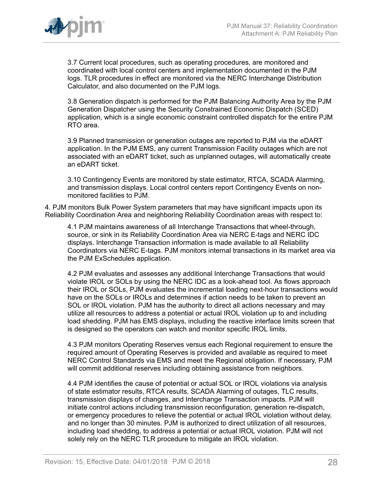

3.7 Current local procedures, such as operating procedures, are monitored and coordinated with local control centers and implementation documented in the PJM logs. TLR procedures in effect are monitored via the NERC Interchange Distribution Calculator, and also documented on the PJM logs.

3.8 Generation dispatch is performed for the PJM Balancing Authority Area by the PJM Generation Dispatcher using the Security Constrained Economic Dispatch (SCED) application, which is a single economic constraint controlled dispatch for the entire PJM RTO area.

3.9 Planned transmission or generation outages are reported to PJM via the eDART application. In the PJM EMS, any current Transmission Facility outages which are not associated with an eDART ticket, such as unplanned outages, will automatically create an eDART ticket.

3.10 Contingency Events are monitored by state estimator, RTCA, SCADA Alarming, and transmission displays. Local control centers report Contingency Events on nonmonitored facilities to PJM.

4. PJM monitors Bulk Power System parameters that may have significant impacts upon its Reliability Coordination Area and neighboring Reliability Coordination areas with respect to:

4.1 PJM maintains awareness of all Interchange Transactions that wheel-through, source, or sink in its Reliability Coordination Area via NERC E-tags and NERC IDC displays. Interchange Transaction information is made available to all Reliability Coordinators via NERC E-tags. PJM monitors internal transactions in its market area via the PJM ExSchedules application.

4.2 PJM evaluates and assesses any additional Interchange Transactions that would violate IROL or SOLs by using the NERC IDC as a look-ahead tool. As flows approach their IROL or SOLs, PJM evaluates the incremental loading next-hour transactions would have on the SOLs or IROLs and determines if action needs to be taken to prevent an SOL or IROL violation. PJM has the authority to direct all actions necessary and may utilize all resources to address a potential or actual IROL violation up to and including load shedding. PJM has EMS displays, including the reactive interface limits screen that is designed so the operators can watch and monitor specific IROL limits.

4.3 PJM monitors Operating Reserves versus each Regional requirement to ensure the required amount of Operating Reserves is provided and available as required to meet NERC Control Standards via EMS and meet the Regional obligation. If necessary, PJM will commit additional reserves including obtaining assistance from neighbors.

4.4 PJM identifies the cause of potential or actual SOL or IROL violations via analysis of state estimator results, RTCA results, SCADA Alarming of outages, TLC results, transmission displays of changes, and Interchange Transaction impacts. PJM will initiate control actions including transmission reconfiguration, generation re-dispatch, or emergency procedures to relieve the potential or actual IROL violation without delay, and no longer than 30 minutes. PJM is authorized to direct utilization of all resources, including load shedding, to address a potential or actual IROL violation. PJM will not solely rely on the NERC TLR procedure to mitigate an IROL violation.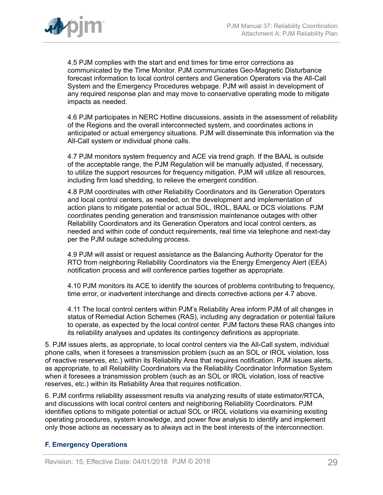

4.5 PJM complies with the start and end times for time error corrections as communicated by the Time Monitor. PJM communicates Geo-Magnetic Disturbance forecast information to local control centers and Generation Operators via the All-Call System and the Emergency Procedures webpage. PJM will assist in development of any required response plan and may move to conservative operating mode to mitigate impacts as needed.

4.6 PJM participates in NERC Hotline discussions, assists in the assessment of reliability of the Regions and the overall interconnected system, and coordinates actions in anticipated or actual emergency situations. PJM will disseminate this information via the All-Call system or individual phone calls.

4.7 PJM monitors system frequency and ACE via trend graph. If the BAAL is outside of the acceptable range, the PJM Regulation will be manually adjusted, if necessary, to utilize the support resources for frequency mitigation. PJM will utilize all resources, including firm load shedding, to relieve the emergent condition.

4.8 PJM coordinates with other Reliability Coordinators and its Generation Operators and local control centers, as needed, on the development and implementation of action plans to mitigate potential or actual SOL, IROL, BAAL or DCS violations. PJM coordinates pending generation and transmission maintenance outages with other Reliability Coordinators and its Generation Operators and local control centers, as needed and within code of conduct requirements, real time via telephone and next-day per the PJM outage scheduling process.

4.9 PJM will assist or request assistance as the Balancing Authority Operator for the RTO from neighboring Reliability Coordinators via the Energy Emergency Alert (EEA) notification process and will conference parties together as appropriate.

4.10 PJM monitors its ACE to identify the sources of problems contributing to frequency, time error, or inadvertent interchange and directs corrective actions per 4.7 above.

4.11 The local control centers within PJM's Reliability Area inform PJM of all changes in status of Remedial Action Schemes (RAS), including any degradation or potential failure to operate, as expected by the local control center. PJM factors these RAS changes into its reliability analyses and updates its contingency definitions as appropriate.

5. PJM issues alerts, as appropriate, to local control centers via the All-Call system, individual phone calls, when it foresees a transmission problem (such as an SOL or IROL violation, loss of reactive reserves, etc.) within its Reliability Area that requires notification. PJM issues alerts, as appropriate, to all Reliability Coordinators via the Reliability Coordinator Information System when it foresees a transmission problem (such as an SOL or IROL violation, loss of reactive reserves, etc.) within its Reliability Area that requires notification.

6. PJM confirms reliability assessment results via analyzing results of state estimator/RTCA, and discussions with local control centers and neighboring Reliability Coordinators. PJM identifies options to mitigate potential or actual SOL or IROL violations via examining existing operating procedures, system knowledge, and power flow analysis to identify and implement only those actions as necessary as to always act in the best interests of the interconnection.

## <span id="page-28-0"></span>**F. Emergency Operations**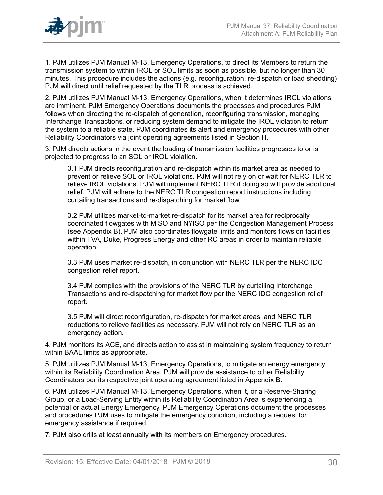

1. PJM utilizes PJM Manual M-13, Emergency Operations, to direct its Members to return the transmission system to within IROL or SOL limits as soon as possible, but no longer than 30 minutes. This procedure includes the actions (e.g. reconfiguration, re-dispatch or load shedding) PJM will direct until relief requested by the TLR process is achieved.

2. PJM utilizes PJM Manual M-13, Emergency Operations, when it determines IROL violations are imminent. PJM Emergency Operations documents the processes and procedures PJM follows when directing the re-dispatch of generation, reconfiguring transmission, managing Interchange Transactions, or reducing system demand to mitigate the IROL violation to return the system to a reliable state. PJM coordinates its alert and emergency procedures with other Reliability Coordinators via joint operating agreements listed in Section H.

3. PJM directs actions in the event the loading of transmission facilities progresses to or is projected to progress to an SOL or IROL violation.

3.1 PJM directs reconfiguration and re-dispatch within its market area as needed to prevent or relieve SOL or IROL violations. PJM will not rely on or wait for NERC TLR to relieve IROL violations. PJM will implement NERC TLR if doing so will provide additional relief. PJM will adhere to the NERC TLR congestion report instructions including curtailing transactions and re-dispatching for market flow.

3.2 PJM utilizes market-to-market re-dispatch for its market area for reciprocally coordinated flowgates with MISO and NYISO per the Congestion Management Process (see Appendix B). PJM also coordinates flowgate limits and monitors flows on facilities within TVA, Duke, Progress Energy and other RC areas in order to maintain reliable operation.

3.3 PJM uses market re-dispatch, in conjunction with NERC TLR per the NERC IDC congestion relief report.

3.4 PJM complies with the provisions of the NERC TLR by curtailing Interchange Transactions and re-dispatching for market flow per the NERC IDC congestion relief report.

3.5 PJM will direct reconfiguration, re-dispatch for market areas, and NERC TLR reductions to relieve facilities as necessary. PJM will not rely on NERC TLR as an emergency action.

4. PJM monitors its ACE, and directs action to assist in maintaining system frequency to return within BAAL limits as appropriate.

5. PJM utilizes PJM Manual M-13, Emergency Operations, to mitigate an energy emergency within its Reliability Coordination Area. PJM will provide assistance to other Reliability Coordinators per its respective joint operating agreement listed in Appendix B.

6. PJM utilizes PJM Manual M-13, Emergency Operations, when it, or a Reserve-Sharing Group, or a Load-Serving Entity within its Reliability Coordination Area is experiencing a potential or actual Energy Emergency. PJM Emergency Operations document the processes and procedures PJM uses to mitigate the emergency condition, including a request for emergency assistance if required.

7. PJM also drills at least annually with its members on Emergency procedures.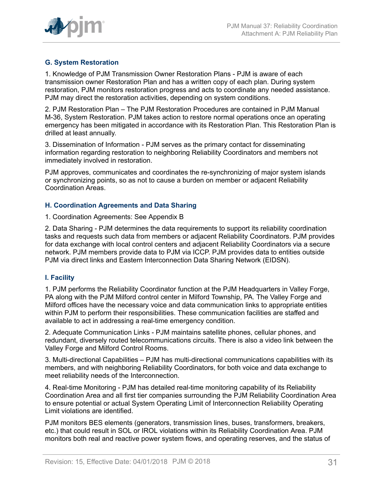

## <span id="page-30-0"></span>**G. System Restoration**

1. Knowledge of PJM Transmission Owner Restoration Plans - PJM is aware of each transmission owner Restoration Plan and has a written copy of each plan. During system restoration, PJM monitors restoration progress and acts to coordinate any needed assistance. PJM may direct the restoration activities, depending on system conditions.

2. PJM Restoration Plan – The PJM Restoration Procedures are contained in PJM Manual M-36, System Restoration. PJM takes action to restore normal operations once an operating emergency has been mitigated in accordance with its Restoration Plan. This Restoration Plan is drilled at least annually.

3. Dissemination of Information - PJM serves as the primary contact for disseminating information regarding restoration to neighboring Reliability Coordinators and members not immediately involved in restoration.

PJM approves, communicates and coordinates the re-synchronizing of major system islands or synchronizing points, so as not to cause a burden on member or adjacent Reliability Coordination Areas.

#### <span id="page-30-1"></span>**H. Coordination Agreements and Data Sharing**

#### 1. Coordination Agreements: See Appendix B

2. Data Sharing - PJM determines the data requirements to support its reliability coordination tasks and requests such data from members or adjacent Reliability Coordinators. PJM provides for data exchange with local control centers and adjacent Reliability Coordinators via a secure network. PJM members provide data to PJM via ICCP. PJM provides data to entities outside PJM via direct links and Eastern Interconnection Data Sharing Network (EIDSN).

## <span id="page-30-2"></span>**I. Facility**

1. PJM performs the Reliability Coordinator function at the PJM Headquarters in Valley Forge, PA along with the PJM Milford control center in Milford Township, PA. The Valley Forge and Milford offices have the necessary voice and data communication links to appropriate entities within PJM to perform their responsibilities. These communication facilities are staffed and available to act in addressing a real-time emergency condition.

2. Adequate Communication Links - PJM maintains satellite phones, cellular phones, and redundant, diversely routed telecommunications circuits. There is also a video link between the Valley Forge and Milford Control Rooms.

3. Multi-directional Capabilities – PJM has multi-directional communications capabilities with its members, and with neighboring Reliability Coordinators, for both voice and data exchange to meet reliability needs of the Interconnection.

4. Real-time Monitoring - PJM has detailed real-time monitoring capability of its Reliability Coordination Area and all first tier companies surrounding the PJM Reliability Coordination Area to ensure potential or actual System Operating Limit of Interconnection Reliability Operating Limit violations are identified.

PJM monitors BES elements (generators, transmission lines, buses, transformers, breakers, etc.) that could result in SOL or IROL violations within its Reliability Coordination Area. PJM monitors both real and reactive power system flows, and operating reserves, and the status of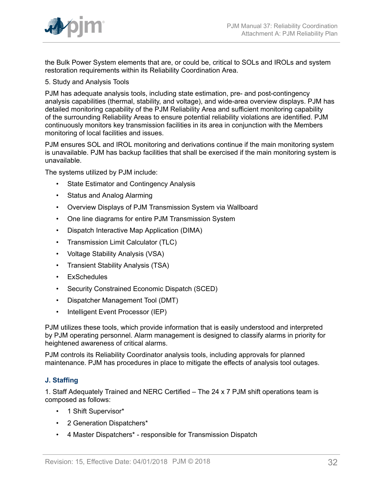

the Bulk Power System elements that are, or could be, critical to SOLs and IROLs and system restoration requirements within its Reliability Coordination Area.

5. Study and Analysis Tools

PJM has adequate analysis tools, including state estimation, pre- and post-contingency analysis capabilities (thermal, stability, and voltage), and wide-area overview displays. PJM has detailed monitoring capability of the PJM Reliability Area and sufficient monitoring capability of the surrounding Reliability Areas to ensure potential reliability violations are identified. PJM continuously monitors key transmission facilities in its area in conjunction with the Members monitoring of local facilities and issues.

PJM ensures SOL and IROL monitoring and derivations continue if the main monitoring system is unavailable. PJM has backup facilities that shall be exercised if the main monitoring system is unavailable.

The systems utilized by PJM include:

- State Estimator and Contingency Analysis
- Status and Analog Alarming
- Overview Displays of PJM Transmission System via Wallboard
- One line diagrams for entire PJM Transmission System
- Dispatch Interactive Map Application (DIMA)
- Transmission Limit Calculator (TLC)
- Voltage Stability Analysis (VSA)
- Transient Stability Analysis (TSA)
- ExSchedules
- Security Constrained Economic Dispatch (SCED)
- Dispatcher Management Tool (DMT)
- Intelligent Event Processor (IEP)

PJM utilizes these tools, which provide information that is easily understood and interpreted by PJM operating personnel. Alarm management is designed to classify alarms in priority for heightened awareness of critical alarms.

PJM controls its Reliability Coordinator analysis tools, including approvals for planned maintenance. PJM has procedures in place to mitigate the effects of analysis tool outages.

## <span id="page-31-0"></span>**J. Staffing**

1. Staff Adequately Trained and NERC Certified – The 24 x 7 PJM shift operations team is composed as follows:

- 1 Shift Supervisor\*
- 2 Generation Dispatchers\*
- 4 Master Dispatchers\* responsible for Transmission Dispatch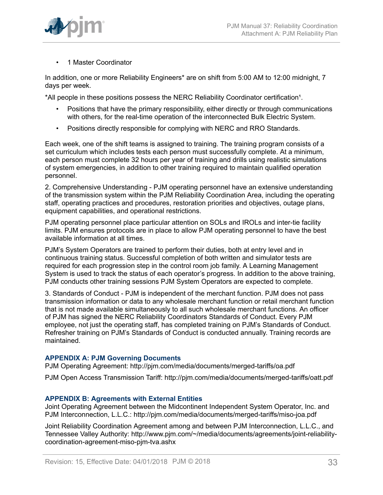

• 1 Master Coordinator

In addition, one or more Reliability Engineers\* are on shift from 5:00 AM to 12:00 midnight, 7 days per week.

\*All people in these positions possess the NERC Reliability Coordinator certification<sup>1</sup>.

- Positions that have the primary responsibility, either directly or through communications with others, for the real-time operation of the interconnected Bulk Electric System.
- Positions directly responsible for complying with NERC and RRO Standards.

Each week, one of the shift teams is assigned to training. The training program consists of a set curriculum which includes tests each person must successfully complete. At a minimum, each person must complete 32 hours per year of training and drills using realistic simulations of system emergencies, in addition to other training required to maintain qualified operation personnel.

2. Comprehensive Understanding - PJM operating personnel have an extensive understanding of the transmission system within the PJM Reliability Coordination Area, including the operating staff, operating practices and procedures, restoration priorities and objectives, outage plans, equipment capabilities, and operational restrictions.

PJM operating personnel place particular attention on SOLs and IROLs and inter-tie facility limits. PJM ensures protocols are in place to allow PJM operating personnel to have the best available information at all times.

PJM's System Operators are trained to perform their duties, both at entry level and in continuous training status. Successful completion of both written and simulator tests are required for each progression step in the control room job family. A Learning Management System is used to track the status of each operator's progress. In addition to the above training, PJM conducts other training sessions PJM System Operators are expected to complete.

3. Standards of Conduct - PJM is independent of the merchant function. PJM does not pass transmission information or data to any wholesale merchant function or retail merchant function that is not made available simultaneously to all such wholesale merchant functions. An officer of PJM has signed the NERC Reliability Coordinators Standards of Conduct. Every PJM employee, not just the operating staff, has completed training on PJM's Standards of Conduct. Refresher training on PJM's Standards of Conduct is conducted annually. Training records are maintained.

## <span id="page-32-0"></span>**APPENDIX A: PJM Governing Documents**

PJM Operating Agreement: http://pjm.com/media/documents/merged-tariffs/oa.pdf

PJM Open Access Transmission Tariff: http://pjm.com/media/documents/merged-tariffs/oatt.pdf

## <span id="page-32-1"></span>**APPENDIX B: Agreements with External Entities**

Joint Operating Agreement between the Midcontinent Independent System Operator, Inc. and PJM Interconnection, L.L.C.: http://pjm.com/media/documents/merged-tariffs/miso-joa.pdf

Joint Reliability Coordination Agreement among and between PJM Interconnection, L.L.C., and Tennessee Valley Authority: http://www.pjm.com/~/media/documents/agreements/joint-reliabilitycoordination-agreement-miso-pjm-tva.ashx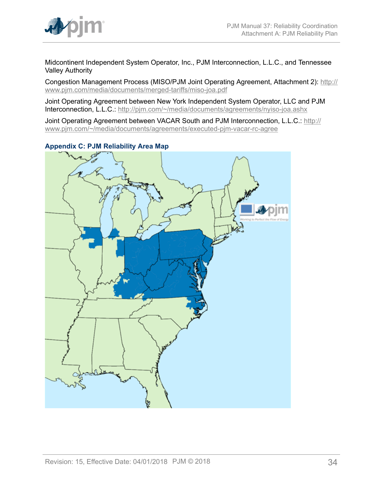

Midcontinent Independent System Operator, Inc., PJM Interconnection, L.L.C., and Tennessee Valley Authority

Congestion Management Process (MISO/PJM Joint Operating Agreement, Attachment 2): [http://](http://www.pjm.com/media/documents/merged-tariffs/miso-joa.pdf) [www.pjm.com/media/documents/merged-tariffs/miso-joa.pdf](http://www.pjm.com/media/documents/merged-tariffs/miso-joa.pdf)

Joint Operating Agreement between New York Independent System Operator, LLC and PJM Interconnection, L.L.C.: <http://pjm.com/~/media/documents/agreements/nyiso-joa.ashx>

Joint Operating Agreement between VACAR South and PJM Interconnection, L.L.C.: [http://](http://www.pjm.com/~/media/documents/agreements/executed-pjm-vacar-rc-agree) [www.pjm.com/~/media/documents/agreements/executed-pjm-vacar-rc-agree](http://www.pjm.com/~/media/documents/agreements/executed-pjm-vacar-rc-agree)



<span id="page-33-0"></span>**Appendix C: PJM Reliability Area Map**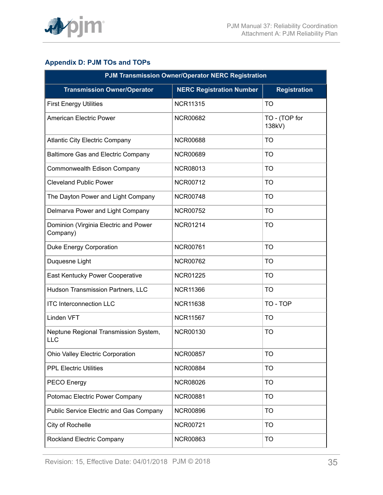

## <span id="page-34-0"></span>**Appendix D: PJM TOs and TOPs**

| <b>PJM Transmission Owner/Operator NERC Registration</b> |                                 |                         |  |
|----------------------------------------------------------|---------------------------------|-------------------------|--|
| <b>Transmission Owner/Operator</b>                       | <b>NERC Registration Number</b> | <b>Registration</b>     |  |
| <b>First Energy Utilities</b>                            | <b>NCR11315</b>                 | <b>TO</b>               |  |
| <b>American Electric Power</b>                           | <b>NCR00682</b>                 | TO - (TOP for<br>138kV) |  |
| <b>Atlantic City Electric Company</b>                    | <b>NCR00688</b>                 | <b>TO</b>               |  |
| Baltimore Gas and Electric Company                       | <b>NCR00689</b>                 | <b>TO</b>               |  |
| Commonwealth Edison Company                              | <b>NCR08013</b>                 | <b>TO</b>               |  |
| <b>Cleveland Public Power</b>                            | <b>NCR00712</b>                 | <b>TO</b>               |  |
| The Dayton Power and Light Company                       | <b>NCR00748</b>                 | <b>TO</b>               |  |
| Delmarva Power and Light Company                         | <b>NCR00752</b>                 | <b>TO</b>               |  |
| Dominion (Virginia Electric and Power<br>Company)        | <b>NCR01214</b>                 | <b>TO</b>               |  |
| Duke Energy Corporation                                  | <b>NCR00761</b>                 | <b>TO</b>               |  |
| Duquesne Light                                           | <b>NCR00762</b>                 | <b>TO</b>               |  |
| East Kentucky Power Cooperative                          | <b>NCR01225</b>                 | <b>TO</b>               |  |
| Hudson Transmission Partners, LLC                        | <b>NCR11366</b>                 | <b>TO</b>               |  |
| <b>ITC Interconnection LLC</b>                           | <b>NCR11638</b>                 | TO - TOP                |  |
| Linden VFT                                               | <b>NCR11567</b>                 | <b>TO</b>               |  |
| Neptune Regional Transmission System,<br>LLC             | <b>NCR00130</b>                 | <b>TO</b>               |  |
| Ohio Valley Electric Corporation                         | <b>NCR00857</b>                 | <b>TO</b>               |  |
| <b>PPL Electric Utilities</b>                            | <b>NCR00884</b>                 | <b>TO</b>               |  |
| PECO Energy                                              | <b>NCR08026</b>                 | <b>TO</b>               |  |
| Potomac Electric Power Company                           | <b>NCR00881</b>                 | <b>TO</b>               |  |
| <b>Public Service Electric and Gas Company</b>           | <b>NCR00896</b>                 | <b>TO</b>               |  |
| City of Rochelle                                         | <b>NCR00721</b>                 | <b>TO</b>               |  |
| <b>Rockland Electric Company</b>                         | <b>NCR00863</b>                 | <b>TO</b>               |  |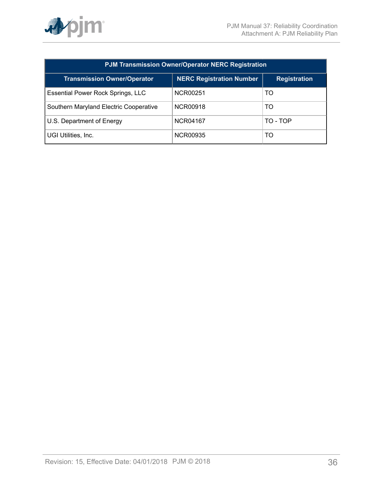

| <b>PJM Transmission Owner/Operator NERC Registration</b> |                                 |          |  |
|----------------------------------------------------------|---------------------------------|----------|--|
| <b>Transmission Owner/Operator</b>                       | <b>NERC Registration Number</b> |          |  |
| Essential Power Rock Springs, LLC                        | NCR00251                        | TO       |  |
| Southern Maryland Electric Cooperative                   | NCR00918                        | TO       |  |
| U.S. Department of Energy                                | NCR04167                        | TO - TOP |  |
| UGI Utilities, Inc.                                      | NCR00935                        | TO       |  |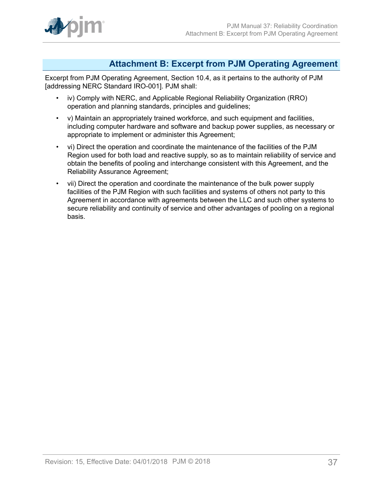

## <span id="page-36-0"></span>**Attachment B: Excerpt from PJM Operating Agreement**

Excerpt from PJM Operating Agreement, Section 10.4, as it pertains to the authority of PJM [addressing NERC Standard IRO-001]. PJM shall:

- iv) Comply with NERC, and Applicable Regional Reliability Organization (RRO) operation and planning standards, principles and guidelines;
- v) Maintain an appropriately trained workforce, and such equipment and facilities, including computer hardware and software and backup power supplies, as necessary or appropriate to implement or administer this Agreement;
- vi) Direct the operation and coordinate the maintenance of the facilities of the PJM Region used for both load and reactive supply, so as to maintain reliability of service and obtain the benefits of pooling and interchange consistent with this Agreement, and the Reliability Assurance Agreement;
- vii) Direct the operation and coordinate the maintenance of the bulk power supply facilities of the PJM Region with such facilities and systems of others not party to this Agreement in accordance with agreements between the LLC and such other systems to secure reliability and continuity of service and other advantages of pooling on a regional basis.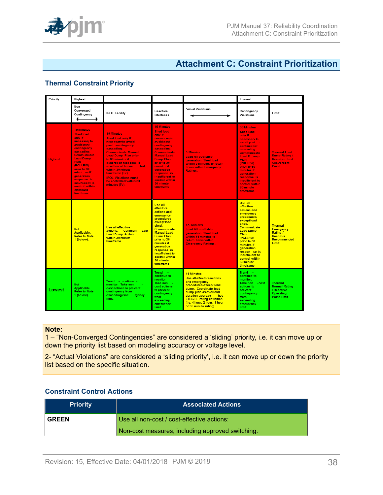

## <span id="page-37-0"></span>**Attachment C: Constraint Prioritization**

## **Thermal Constraint Priority**

| Priority       | Highest                                                                                                                                                                                                                                                                                                           |                                                                                                                                                                                                                                                                                                                                                                  |                                                                                                                                                                                                                                                                                                        |                                                                                                                                                                                                                                                                     | Lowest                                                                                                                                                                                                                                                                                              |                                                                                                   |
|----------------|-------------------------------------------------------------------------------------------------------------------------------------------------------------------------------------------------------------------------------------------------------------------------------------------------------------------|------------------------------------------------------------------------------------------------------------------------------------------------------------------------------------------------------------------------------------------------------------------------------------------------------------------------------------------------------------------|--------------------------------------------------------------------------------------------------------------------------------------------------------------------------------------------------------------------------------------------------------------------------------------------------------|---------------------------------------------------------------------------------------------------------------------------------------------------------------------------------------------------------------------------------------------------------------------|-----------------------------------------------------------------------------------------------------------------------------------------------------------------------------------------------------------------------------------------------------------------------------------------------------|---------------------------------------------------------------------------------------------------|
|                | Non<br>Converged<br>Contingency                                                                                                                                                                                                                                                                                   | <b>IROL Facility</b>                                                                                                                                                                                                                                                                                                                                             | Reactive<br>Interfaces                                                                                                                                                                                                                                                                                 | <b>Actual Violations</b>                                                                                                                                                                                                                                            | Contingency<br>Violations                                                                                                                                                                                                                                                                           | Limit                                                                                             |
| <b>Highest</b> | <b>15 Minutes</b><br><b>Shed load</b><br>only if<br>necessary to<br>avoid post<br>contingency<br>cascading.<br><b>Communicate</b><br><b>Load Dump</b><br><b>Plan</b><br>(PCLLRW)<br>prior to 30<br>minut es if<br><b>generation</b><br>response is<br>insufficient to<br>control within<br>30 minute<br>timeframe | <b>15 Minutes</b><br><b>Shed load only if</b><br>necessary to avoid<br>post -contingency<br>cascading.<br><b>Communicate Manual</b><br><b>Load Dump Plan prior</b><br>to 30 minutes if<br>generation response is<br>insufficient to con<br>trol<br>within 30 minute<br>timeframe (Tv)<br><b>IROL Violations must</b><br>be controlled within 30<br>minutes (Tv). | <b>15 Minutes</b><br><b>Shed load</b><br>only if<br>necessary to<br>avoid post -<br>contingency<br>cascading.<br>Communicate<br><b>Manual Load</b><br><b>Dump Plan</b><br>prior to 30<br>minutes if<br><b>generation</b><br>response is<br>insufficient to<br>control within<br>30 minute<br>timeframe | <b>5 Minutes</b><br><b>Load All available</b><br>generation. Shed load<br>within 5 minutes to return<br>flows within Emergency<br>Ratings.                                                                                                                          | <b>30 Minutes</b><br><b>Shed load</b><br>only if<br>necessary to<br>avoid post -<br>contingency<br>cascading.<br>Communicate<br>Load D ump<br>Plan<br>(PCLLRW)<br>prior to 60<br>minutes if<br><b>generation</b><br>response is<br>insufficient to<br>control within<br>60 minute<br>timeframe      | <b>Thermal Load</b><br>Dump Rating /<br><b>Reactive Last</b><br><b>Convergent</b><br><b>Point</b> |
|                | <b>Not</b><br>Applicable.<br><b>Refer to Note</b><br>1 (below).                                                                                                                                                                                                                                                   | Use all effective<br>actions. Communi cate<br><b>Load Dump Action</b><br>within 30 minute<br>timeframe.                                                                                                                                                                                                                                                          | <b>Use all</b><br>effective<br>actions and<br>emergency<br>procedures<br>except load<br>shed.<br><b>Communicate</b><br><b>Manual Load</b><br><b>Dump Plan</b><br>prior to 30<br>minutes if<br><b>generation</b><br>response is<br>insufficient to<br>control within<br>30 minute<br>timeframe          | <b>15 Minutes</b><br><b>Load All available</b><br>generation. Shed load<br>within 15 minutes to<br>return flows within<br><b>Emergency Ratings.</b>                                                                                                                 | <b>Use all</b><br><b>effective</b><br>actions and<br>emergency<br><b>procedures</b><br>except load<br>shed.<br>Communicate<br><b>Load Dump</b><br>Plan<br><b>IPCLLRWI</b><br>prior to 60<br>minutes if<br>qeneration<br>respon se is<br>insufficient to<br>control within<br>60 minute<br>timeframe | <b>Thermal</b><br><b>Emergency</b><br>Rating /<br>Reactive<br>Recommended<br><b>Limit</b>         |
| Lowest         | <b>Not</b><br>Applicable.<br><b>Refer to Note</b><br>1 (below).                                                                                                                                                                                                                                                   | $Trend - continue to$<br>monitor. Take non<br>cost actions to prevent<br>contingency from<br>exceeding eme<br>rgency<br>limit.                                                                                                                                                                                                                                   | Trend<br>$\sim$<br>continue to<br>monitor.<br>Take non -<br>cost actions<br>to prevent<br>contingency<br>from:<br>exceeding<br>emergency<br>limit.                                                                                                                                                     | <b>15 Minutes</b><br>Use all effective actions<br>and emergency<br>procedures except load<br>dump. Coordinate load<br>dump plan as overload<br>duration approac<br>hed<br><b>LTE/STE</b> rating definition<br>(i.e. 4 hour, 2 hour, 1 hour<br>or 30 minute rating). | $Trend =$<br>continue to<br>monitor.<br>Take non - cost<br>actions to<br>prevent<br>contingency<br>from<br>exceeding<br>emergency<br>limit.                                                                                                                                                         | <b>Thermal</b><br><b>Normal Rating</b><br>/ Reactive<br><b>Operating</b><br><b>Point Limit</b>    |

#### **Note:**

1 – "Non-Converged Contingencies" are considered a 'sliding' priority, i.e. it can move up or down the priority list based on modeling accuracy or voltage level.

2- "Actual Violations" are considered a 'sliding priority', i.e. it can move up or down the priority list based on the specific situation.

## **Constraint Control Actions**

| <b>Priority</b> | <b>Associated Actions</b>                        |  |
|-----------------|--------------------------------------------------|--|
| <b>GREEN</b>    | Use all non-cost / cost-effective actions:       |  |
|                 | Non-cost measures, including approved switching. |  |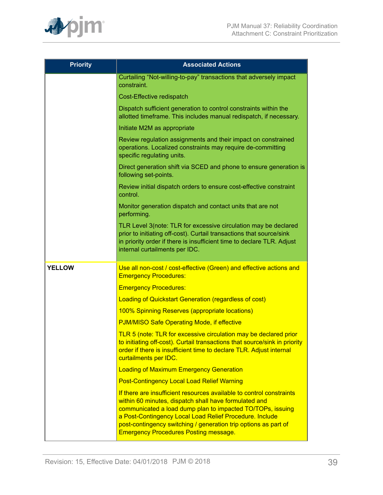

| <b>Priority</b> | <b>Associated Actions</b>                                                                                                                                                                                                                                                                                                                                                 |  |  |
|-----------------|---------------------------------------------------------------------------------------------------------------------------------------------------------------------------------------------------------------------------------------------------------------------------------------------------------------------------------------------------------------------------|--|--|
|                 | Curtailing "Not-willing-to-pay" transactions that adversely impact<br>constraint.                                                                                                                                                                                                                                                                                         |  |  |
|                 | Cost-Effective redispatch                                                                                                                                                                                                                                                                                                                                                 |  |  |
|                 | Dispatch sufficient generation to control constraints within the<br>allotted timeframe. This includes manual redispatch, if necessary.                                                                                                                                                                                                                                    |  |  |
|                 | Initiate M2M as appropriate                                                                                                                                                                                                                                                                                                                                               |  |  |
|                 | Review regulation assignments and their impact on constrained<br>operations. Localized constraints may require de-committing<br>specific regulating units.                                                                                                                                                                                                                |  |  |
|                 | Direct generation shift via SCED and phone to ensure generation is<br>following set-points.                                                                                                                                                                                                                                                                               |  |  |
|                 | Review initial dispatch orders to ensure cost-effective constraint<br>control.                                                                                                                                                                                                                                                                                            |  |  |
|                 | Monitor generation dispatch and contact units that are not<br>performing.                                                                                                                                                                                                                                                                                                 |  |  |
|                 | TLR Level 3(note: TLR for excessive circulation may be declared<br>prior to initiating off-cost). Curtail transactions that source/sink<br>in priority order if there is insufficient time to declare TLR. Adjust<br>internal curtailments per IDC.                                                                                                                       |  |  |
| <b>YELLOW</b>   | Use all non-cost / cost-effective (Green) and effective actions and<br><b>Emergency Procedures:</b>                                                                                                                                                                                                                                                                       |  |  |
|                 | <b>Emergency Procedures:</b>                                                                                                                                                                                                                                                                                                                                              |  |  |
|                 | <b>Loading of Quickstart Generation (regardless of cost)</b>                                                                                                                                                                                                                                                                                                              |  |  |
|                 | 100% Spinning Reserves (appropriate locations)                                                                                                                                                                                                                                                                                                                            |  |  |
|                 | <b>PJM/MISO Safe Operating Mode, if effective</b>                                                                                                                                                                                                                                                                                                                         |  |  |
|                 | TLR 5 (note: TLR for excessive circulation may be declared prior<br>to initiating off-cost). Curtail transactions that source/sink in priority<br>order if there is insufficient time to declare TLR. Adjust internal<br>curtailments per IDC.                                                                                                                            |  |  |
|                 | <b>Loading of Maximum Emergency Generation</b>                                                                                                                                                                                                                                                                                                                            |  |  |
|                 | <b>Post-Contingency Local Load Relief Warning</b>                                                                                                                                                                                                                                                                                                                         |  |  |
|                 | If there are insufficient resources available to control constraints<br>within 60 minutes, dispatch shall have formulated and<br>communicated a load dump plan to impacted TO/TOPs, issuing<br>a Post-Contingency Local Load Relief Procedure. Include<br>post-contingency switching / generation trip options as part of<br><b>Emergency Procedures Posting message.</b> |  |  |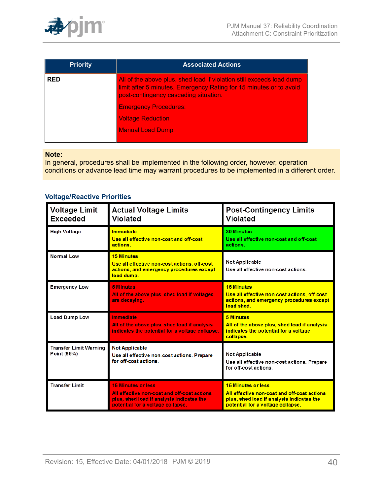

| <b>Priority</b> | <b>Associated Actions</b>                                                                                                                                                            |  |  |
|-----------------|--------------------------------------------------------------------------------------------------------------------------------------------------------------------------------------|--|--|
| <b>RED</b>      | All of the above plus, shed load if violation still exceeds load dump<br>limit after 5 minutes, Emergency Rating for 15 minutes or to avoid<br>post-contingency cascading situation. |  |  |
|                 | <b>Emergency Procedures:</b>                                                                                                                                                         |  |  |
|                 | <b>Voltage Reduction</b>                                                                                                                                                             |  |  |
|                 | <b>Manual Load Dump</b>                                                                                                                                                              |  |  |
|                 |                                                                                                                                                                                      |  |  |

#### **Note:**

In general, procedures shall be implemented in the following order, however, operation conditions or advance lead time may warrant procedures to be implemented in a different order.

## **Voltage/Reactive Priorities**

| <b>Voltage Limit</b><br><b>Exceeded</b>      | <b>Actual Voltage Limits</b><br>Violated                                                                                                                   | <b>Post-Contingency Limits</b><br><b>Violated</b>                                                                                                   |  |
|----------------------------------------------|------------------------------------------------------------------------------------------------------------------------------------------------------------|-----------------------------------------------------------------------------------------------------------------------------------------------------|--|
| High Voltage                                 | <b>Immediate</b><br>Use all effective non-cost and off-cost<br>actions.                                                                                    | <b>30 Minutes</b><br>Use all effective non-cost and off-cost<br>actions.                                                                            |  |
| Normal Low                                   | <b>15 Minutes</b><br>Use all effective non-cost actions, off-cost<br>actions, and emergency procedures except<br>load dump.                                | Not Applicable<br>Use all effective non-cost actions.                                                                                               |  |
| <b>Emergency Low</b>                         | <b>5 Minutes</b><br>All of the above plus, shed load if voltages<br>are decaying.                                                                          | <b>15 Minutes</b><br>Use all effective non-cost actions, off-cost<br>actions, and emergency procedures except<br>load shed.                         |  |
| <b>Load Dump Low</b>                         | Immediate<br>All of the above plus, shed load if analysis<br>indicates the potential for a voltage collapse.                                               | <b>5 Minutes</b><br>All of the above plus, shed load if analysis<br>indicates the potential for a voltage<br>collapse.                              |  |
| <b>Transfer Limit Warning</b><br>Point (95%) | <b>Not Applicable</b><br>Use all effective non-cost actions. Prepare<br>for off-cost actions.                                                              | Not Applicable<br>Use all effective non-cost actions. Prepare<br>for off-cost actions.                                                              |  |
| <b>Transfer Limit</b>                        | <b>15 Minutes or less</b><br>All effective non-cost and off-cost actions<br>plus, shed load if analysis indicates the<br>potential for a voltage collapse. | 15 Minutes or less<br>All effective non-cost and off-cost actions<br>plus, shed load if analysis indicates the<br>potential for a voltage collapse. |  |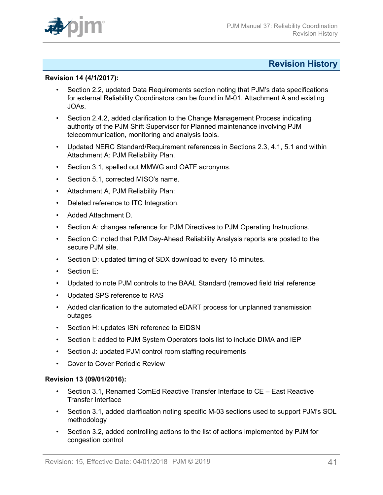

## <span id="page-40-0"></span>**Revision History**

#### **Revision 14 (4/1/2017):**

- Section 2.2, updated Data Requirements section noting that PJM's data specifications for external Reliability Coordinators can be found in M-01, Attachment A and existing JOAs.
- Section 2.4.2, added clarification to the Change Management Process indicating authority of the PJM Shift Supervisor for Planned maintenance involving PJM telecommunication, monitoring and analysis tools.
- Updated NERC Standard/Requirement references in Sections 2.3, 4.1, 5.1 and within Attachment A: PJM Reliability Plan.
- Section 3.1, spelled out MMWG and OATF acronyms.
- Section 5.1, corrected MISO's name.
- Attachment A, PJM Reliability Plan:
- Deleted reference to ITC Integration.
- Added Attachment D.
- Section A: changes reference for PJM Directives to PJM Operating Instructions.
- Section C: noted that PJM Day-Ahead Reliability Analysis reports are posted to the secure PJM site.
- Section D: updated timing of SDX download to every 15 minutes.
- Section E:
- Updated to note PJM controls to the BAAL Standard (removed field trial reference
- Updated SPS reference to RAS
- Added clarification to the automated eDART process for unplanned transmission outages
- Section H: updates ISN reference to EIDSN
- Section I: added to PJM System Operators tools list to include DIMA and IEP
- Section J: updated PJM control room staffing requirements
- Cover to Cover Periodic Review

#### **Revision 13 (09/01/2016):**

- Section 3.1, Renamed ComEd Reactive Transfer Interface to CE East Reactive Transfer Interface
- Section 3.1, added clarification noting specific M-03 sections used to support PJM's SOL methodology
- Section 3.2, added controlling actions to the list of actions implemented by PJM for congestion control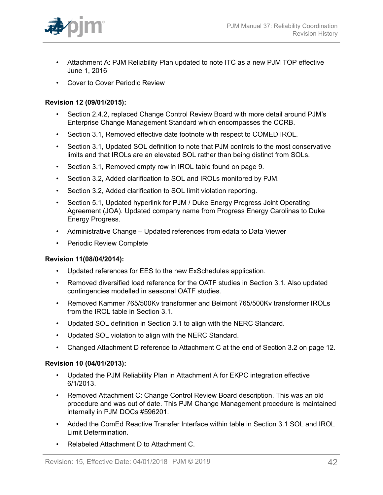

- Attachment A: PJM Reliability Plan updated to note ITC as a new PJM TOP effective June 1, 2016
- Cover to Cover Periodic Review

## **Revision 12 (09/01/2015):**

- Section 2.4.2, replaced Change Control Review Board with more detail around PJM's Enterprise Change Management Standard which encompasses the CCRB.
- Section 3.1, Removed effective date footnote with respect to COMED IROL.
- Section 3.1, Updated SOL definition to note that PJM controls to the most conservative limits and that IROLs are an elevated SOL rather than being distinct from SOLs.
- Section 3.1, Removed empty row in IROL table found on page 9.
- Section 3.2, Added clarification to SOL and IROLs monitored by PJM.
- Section 3.2, Added clarification to SOL limit violation reporting.
- Section 5.1, Updated hyperlink for PJM / Duke Energy Progress Joint Operating Agreement (JOA). Updated company name from Progress Energy Carolinas to Duke Energy Progress.
- Administrative Change Updated references from edata to Data Viewer
- Periodic Review Complete

## **Revision 11(08/04/2014):**

- Updated references for EES to the new ExSchedules application.
- Removed diversified load reference for the OATF studies in Section 3.1. Also updated contingencies modelled in seasonal OATF studies.
- Removed Kammer 765/500Kv transformer and Belmont 765/500Kv transformer IROLs from the IROL table in Section 3.1.
- Updated SOL definition in Section 3.1 to align with the NERC Standard.
- Updated SOL violation to align with the NERC Standard.
- Changed Attachment D reference to Attachment C at the end of Section 3.2 on page 12.

## **Revision 10 (04/01/2013):**

- Updated the PJM Reliability Plan in Attachment A for EKPC integration effective 6/1/2013.
- Removed Attachment C: Change Control Review Board description. This was an old procedure and was out of date. This PJM Change Management procedure is maintained internally in PJM DOCs #596201.
- Added the ComEd Reactive Transfer Interface within table in Section 3.1 SOL and IROL Limit Determination.
- Relabeled Attachment D to Attachment C.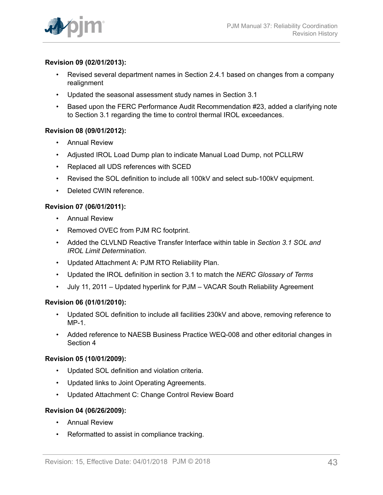## **Revision 09 (02/01/2013):**

- Revised several department names in Section 2.4.1 based on changes from a company realignment
- Updated the seasonal assessment study names in Section 3.1
- Based upon the FERC Performance Audit Recommendation #23, added a clarifying note to Section 3.1 regarding the time to control thermal IROL exceedances.

## **Revision 08 (09/01/2012):**

- Annual Review
- Adjusted IROL Load Dump plan to indicate Manual Load Dump, not PCLLRW
- Replaced all UDS references with SCED
- Revised the SOL definition to include all 100kV and select sub-100kV equipment.
- Deleted CWIN reference.

## **Revision 07 (06/01/2011):**

- Annual Review
- Removed OVEC from PJM RC footprint.
- Added the CLVLND Reactive Transfer Interface within table in *Section 3.1 SOL and IROL Limit Determination*.
- Updated Attachment A: PJM RTO Reliability Plan.
- Updated the IROL definition in section 3.1 to match the *NERC Glossary of Terms*
- July 11, 2011 Updated hyperlink for PJM VACAR South Reliability Agreement

## **Revision 06 (01/01/2010):**

- Updated SOL definition to include all facilities 230kV and above, removing reference to MP-1.
- Added reference to NAESB Business Practice WEQ-008 and other editorial changes in Section 4

## **Revision 05 (10/01/2009):**

- Updated SOL definition and violation criteria.
- Updated links to Joint Operating Agreements.
- Updated Attachment C: Change Control Review Board

## **Revision 04 (06/26/2009):**

- Annual Review
- Reformatted to assist in compliance tracking.